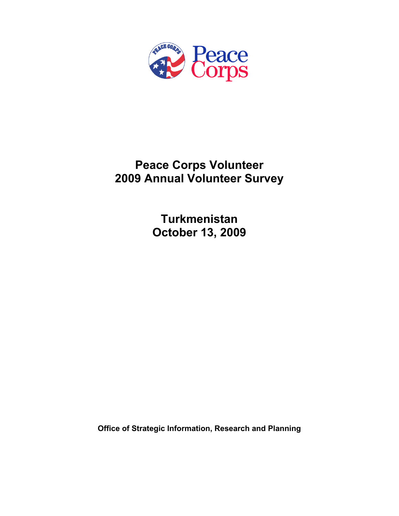

# **Peace Corps Volunteer 2009 Annual Volunteer Survey**

**Turkmenistan October 13, 2009** 

**Office of Strategic Information, Research and Planning**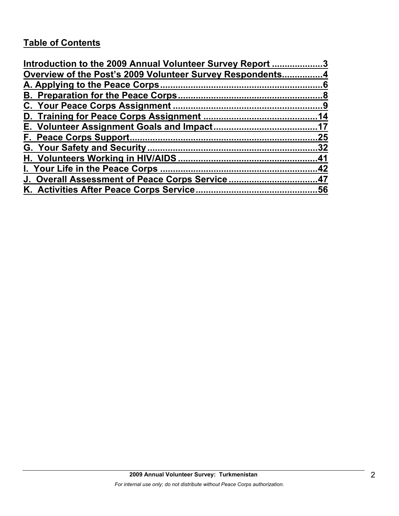# **Table of Contents**

| Introduction to the 2009 Annual Volunteer Survey Report 3 |    |
|-----------------------------------------------------------|----|
| Overview of the Post's 2009 Volunteer Survey Respondents4 |    |
|                                                           |    |
|                                                           |    |
|                                                           |    |
|                                                           |    |
|                                                           |    |
|                                                           | 25 |
|                                                           |    |
|                                                           |    |
|                                                           |    |
| J. Overall Assessment of Peace Corps Service47            |    |
|                                                           |    |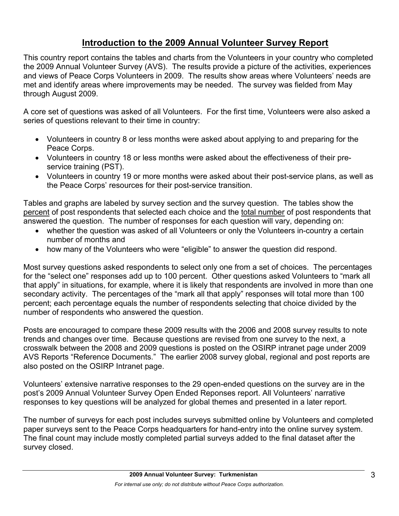# **Introduction to the 2009 Annual Volunteer Survey Report**

This country report contains the tables and charts from the Volunteers in your country who completed the 2009 Annual Volunteer Survey (AVS). The results provide a picture of the activities, experiences and views of Peace Corps Volunteers in 2009. The results show areas where Volunteers' needs are met and identify areas where improvements may be needed. The survey was fielded from May through August 2009.

A core set of questions was asked of all Volunteers. For the first time, Volunteers were also asked a series of questions relevant to their time in country:

- Volunteers in country 8 or less months were asked about applying to and preparing for the Peace Corps.
- Volunteers in country 18 or less months were asked about the effectiveness of their preservice training (PST).
- Volunteers in country 19 or more months were asked about their post-service plans, as well as the Peace Corps' resources for their post-service transition.

Tables and graphs are labeled by survey section and the survey question. The tables show the percent of post respondents that selected each choice and the total number of post respondents that answered the question. The number of responses for each question will vary, depending on:

- whether the question was asked of all Volunteers or only the Volunteers in-country a certain number of months and
- how many of the Volunteers who were "eligible" to answer the question did respond.

Most survey questions asked respondents to select only one from a set of choices. The percentages for the "select one" responses add up to 100 percent. Other questions asked Volunteers to "mark all that apply" in situations, for example, where it is likely that respondents are involved in more than one secondary activity. The percentages of the "mark all that apply" responses will total more than 100 percent; each percentage equals the number of respondents selecting that choice divided by the number of respondents who answered the question.

Posts are encouraged to compare these 2009 results with the 2006 and 2008 survey results to note trends and changes over time. Because questions are revised from one survey to the next, a crosswalk between the 2008 and 2009 questions is posted on the OSIRP intranet page under 2009 AVS Reports "Reference Documents." The earlier 2008 survey global, regional and post reports are also posted on the OSIRP Intranet page.

Volunteers' extensive narrative responses to the 29 open-ended questions on the survey are in the post's 2009 Annual Volunteer Survey Open Ended Reponses report. All Volunteers' narrative responses to key questions will be analyzed for global themes and presented in a later report.

The number of surveys for each post includes surveys submitted online by Volunteers and completed paper surveys sent to the Peace Corps headquarters for hand-entry into the online survey system. The final count may include mostly completed partial surveys added to the final dataset after the survey closed.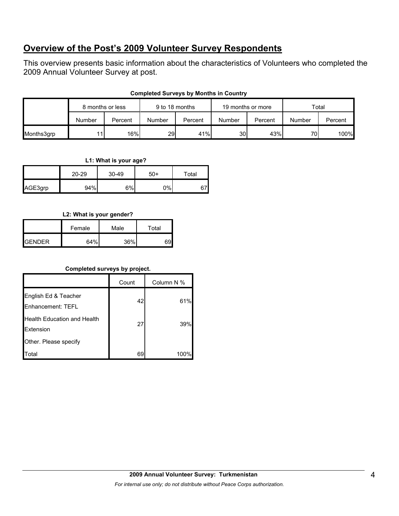# **Overview of the Post's 2009 Volunteer Survey Respondents**

This overview presents basic information about the characteristics of Volunteers who completed the 2009 Annual Volunteer Survey at post.

| <b>Completed Surveys by Months in Country</b> |  |
|-----------------------------------------------|--|
|-----------------------------------------------|--|

|            | 8 months or less |         | 9 to 18 months |         | 19 months or more |         | Total  |         |
|------------|------------------|---------|----------------|---------|-------------------|---------|--------|---------|
|            | Number           | Percent | Number         | Percent | Number            | Percent | Number | Percent |
| Months3grp | 11.              | 16%     | 29             | 41%     | 30 <sup>°</sup>   | 43%     | 70     | 100%    |

**L1: What is your age?**

|         | $20 - 29$ | $30 - 49$ | $50+$ | Total |  |
|---------|-----------|-----------|-------|-------|--|
| AGE3grp | 94%       | 6%        | 0%    | 27I   |  |

**L2: What is your gender?**

|                 | Female | Male | Total |  |
|-----------------|--------|------|-------|--|
| <b>I</b> GENDER | 64%    | 36%  |       |  |

# **Completed surveys by project.**

|                                                 | Count | Column N % |
|-------------------------------------------------|-------|------------|
| English Ed & Teacher<br>Enhancement: TEFL       | 42    | 61%        |
| <b>Health Education and Health</b><br>Extension | 27    | 39%        |
| Other. Please specify                           |       |            |
| ʻotal                                           | 69    | 100°       |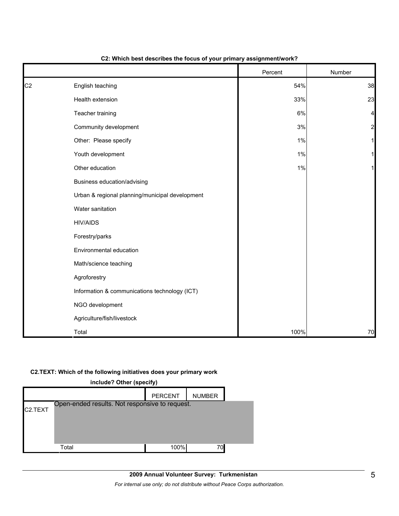|                |                                                 | Percent | Number         |
|----------------|-------------------------------------------------|---------|----------------|
| C <sub>2</sub> | English teaching                                | 54%     | 38             |
|                | Health extension                                | 33%     | 23             |
|                | Teacher training                                | 6%      | $\overline{4}$ |
|                | Community development                           | 3%      | $\overline{a}$ |
|                | Other: Please specify                           | 1%      |                |
|                | Youth development                               | $1\%$   |                |
|                | Other education                                 | $1\%$   | 1              |
|                | Business education/advising                     |         |                |
|                | Urban & regional planning/municipal development |         |                |
|                | Water sanitation                                |         |                |
|                | <b>HIV/AIDS</b>                                 |         |                |
|                | Forestry/parks                                  |         |                |
|                | Environmental education                         |         |                |
|                | Math/science teaching                           |         |                |
|                | Agroforestry                                    |         |                |
|                | Information & communications technology (ICT)   |         |                |
|                | NGO development                                 |         |                |
|                | Agriculture/fish/livestock                      |         |                |
|                | Total                                           | 100%    | 70             |

#### **C2: Which best describes the focus of your primary assignment/work?**

### **C2.TEXT: Which of the following initiatives does your primary work**

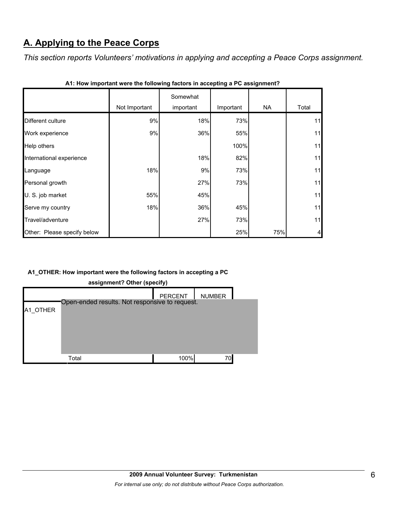# **A. Applying to the Peace Corps**

*This section reports Volunteers' motivations in applying and accepting a Peace Corps assignment.* 

|                             |               | Somewhat  |           |     |       |
|-----------------------------|---------------|-----------|-----------|-----|-------|
|                             | Not Important | important | Important | NA  | Total |
| Different culture           | 9%            | 18%       | 73%       |     | 11    |
| Work experience             | 9%            | 36%       | 55%       |     | 11    |
| Help others                 |               |           | 100%      |     | 11    |
| International experience    |               | 18%       | 82%       |     | 11    |
| Language                    | 18%           | 9%        | 73%       |     | 11    |
| Personal growth             |               | 27%       | 73%       |     | 11    |
| U. S. job market            | 55%           | 45%       |           |     | 11    |
| Serve my country            | 18%           | 36%       | 45%       |     | 11    |
| Travel/adventure            |               | 27%       | 73%       |     | 11    |
| Other: Please specify below |               |           | 25%       | 75% | 4     |

|  |  | A1: How important were the following factors in accepting a PC assignment? |
|--|--|----------------------------------------------------------------------------|
|--|--|----------------------------------------------------------------------------|

# **A1\_OTHER: How important were the following factors in accepting a PC**



**assignment? Other (specify)**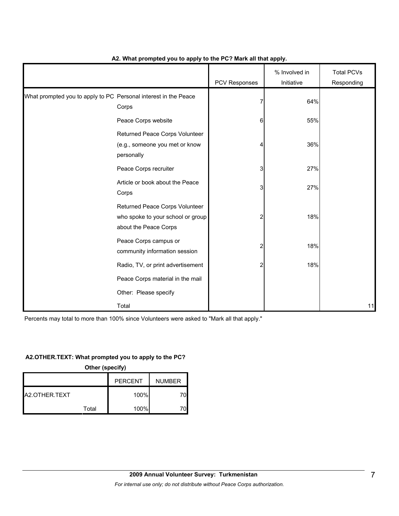|                                                                 |                                                                                              | <b>PCV Responses</b> | % Involved in<br>Initiative | <b>Total PCVs</b><br>Responding |
|-----------------------------------------------------------------|----------------------------------------------------------------------------------------------|----------------------|-----------------------------|---------------------------------|
| What prompted you to apply to PC Personal interest in the Peace | Corps                                                                                        |                      | 64%                         |                                 |
|                                                                 | Peace Corps website                                                                          | 6                    | 55%                         |                                 |
|                                                                 | Returned Peace Corps Volunteer<br>(e.g., someone you met or know<br>personally               | 4                    | 36%                         |                                 |
|                                                                 | Peace Corps recruiter                                                                        | 3                    | 27%                         |                                 |
|                                                                 | Article or book about the Peace<br>Corps                                                     | 3                    | 27%                         |                                 |
|                                                                 | Returned Peace Corps Volunteer<br>who spoke to your school or group<br>about the Peace Corps | 2                    | 18%                         |                                 |
|                                                                 | Peace Corps campus or<br>community information session                                       | 2                    | 18%                         |                                 |
|                                                                 | Radio, TV, or print advertisement                                                            | 2                    | 18%                         |                                 |
|                                                                 | Peace Corps material in the mail                                                             |                      |                             |                                 |
|                                                                 | Other: Please specify                                                                        |                      |                             |                                 |
|                                                                 | Total                                                                                        |                      |                             | 11                              |

# **A2. What prompted you to apply to the PC? Mark all that apply.**

Percents may total to more than 100% since Volunteers were asked to "Mark all that apply."

# **A2.OTHER.TEXT: What prompted you to apply to the PC?**

**Other (specify)**

|               |       | <b>PERCENT</b> | <b>NUMBER</b> |
|---------------|-------|----------------|---------------|
| A2.OTHER.TEXT |       | 100%           |               |
|               | Total | 100%           |               |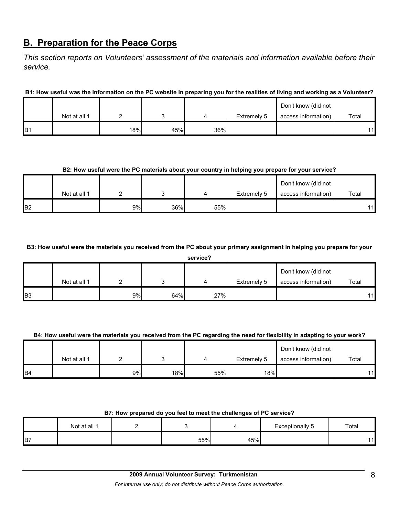# **B. Preparation for the Peace Corps**

*This section reports on Volunteers' assessment of the materials and information available before their service.* 

**B1: How useful was the information on the PC website in preparing you for the realities of living and working as a Volunteer?**

|                 |              |     |     |     |             | Don't know (did not |       |
|-----------------|--------------|-----|-----|-----|-------------|---------------------|-------|
|                 | Not at all 1 |     |     |     | Extremely 5 | access information) | Total |
| IB <sub>1</sub> |              | 18% | 45% | 36% |             |                     | 11    |

# **B2: How useful were the PC materials about your country in helping you prepare for your service?**

|                |              |    |     |     |             | Don't know (did not |       |
|----------------|--------------|----|-----|-----|-------------|---------------------|-------|
|                | Not at all 1 |    |     |     | Extremely 5 | access information) | Total |
| B <sub>2</sub> |              | 9% | 36% | 55% |             |                     | 11    |

**B3: How useful were the materials you received from the PC about your primary assignment in helping you prepare for your** 

|                |              |    |     | service? |             |                     |       |
|----------------|--------------|----|-----|----------|-------------|---------------------|-------|
|                |              |    |     |          |             | Don't know (did not |       |
|                | Not at all 1 |    |     | 4        | Extremely 5 | access information) | Total |
| B <sub>3</sub> |              | 9% | 64% | 27%      |             |                     | 11    |

# **B4: How useful were the materials you received from the PC regarding the need for flexibility in adapting to your work?**

|                |              |    |     |     |             | Don't know (did not |       |
|----------------|--------------|----|-----|-----|-------------|---------------------|-------|
|                | Not at all 1 |    |     |     | Extremely 5 | access information) | Total |
| B <sub>4</sub> |              | 9% | 18% | 55% | 18%         |                     | 11    |

#### **B7: How prepared do you feel to meet the challenges of PC service?**

|                | Not at all 1 |     |     | Exceptionally<br>◡ | Total |
|----------------|--------------|-----|-----|--------------------|-------|
| B <sub>7</sub> |              | 55% | 45% |                    | 11    |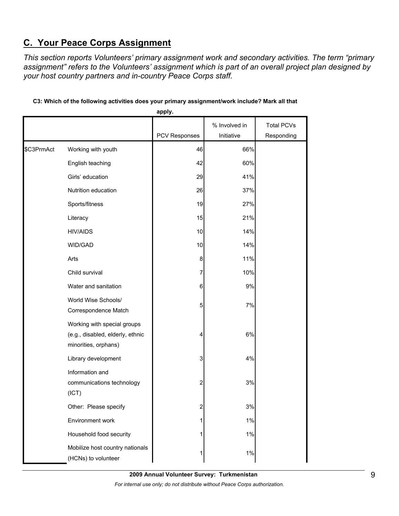# **C. Your Peace Corps Assignment**

*This section reports Volunteers' primary assignment work and secondary activities. The term "primary assignment" refers to the Volunteers' assignment which is part of an overall project plan designed by your host country partners and in-country Peace Corps staff.* 

|            |                                                                                         | apply.               |               |                   |
|------------|-----------------------------------------------------------------------------------------|----------------------|---------------|-------------------|
|            |                                                                                         |                      | % Involved in | <b>Total PCVs</b> |
|            |                                                                                         | <b>PCV Responses</b> | Initiative    | Responding        |
| \$C3PrmAct | Working with youth                                                                      | 46                   | 66%           |                   |
|            | English teaching                                                                        | 42                   | 60%           |                   |
|            | Girls' education                                                                        | 29                   | 41%           |                   |
|            | Nutrition education                                                                     | 26                   | 37%           |                   |
|            | Sports/fitness                                                                          | 19                   | 27%           |                   |
|            | Literacy                                                                                | 15                   | 21%           |                   |
|            | <b>HIV/AIDS</b>                                                                         | 10                   | 14%           |                   |
|            | WID/GAD                                                                                 | 10                   | 14%           |                   |
|            | Arts                                                                                    | 8                    | 11%           |                   |
|            | Child survival                                                                          | 7                    | 10%           |                   |
|            | Water and sanitation                                                                    | 6                    | $9\%$         |                   |
|            | World Wise Schools/<br>Correspondence Match                                             | 5                    | 7%            |                   |
|            | Working with special groups<br>(e.g., disabled, elderly, ethnic<br>minorities, orphans) | 4                    | 6%            |                   |
|            | Library development                                                                     | 3                    | 4%            |                   |
|            | Information and<br>communications technology<br>(ICT)                                   | 2                    | 3%            |                   |
|            | Other: Please specify                                                                   | 2                    | 3%            |                   |
|            | Environment work                                                                        |                      | 1%            |                   |
|            | Household food security                                                                 |                      | 1%            |                   |
|            | Mobilize host country nationals<br>(HCNs) to volunteer                                  |                      | $1\%$         |                   |

# **C3: Which of the following activities does your primary assignment/work include? Mark all that**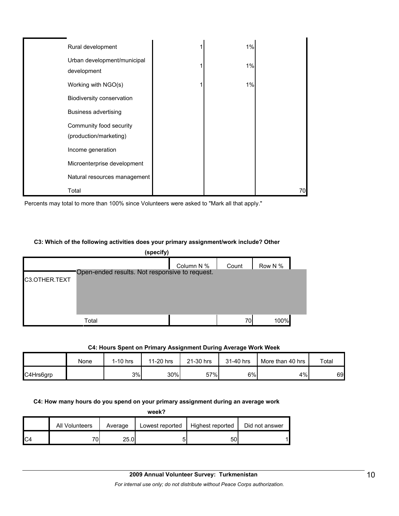| Rural development                                 | 1%    |    |
|---------------------------------------------------|-------|----|
| Urban development/municipal<br>development        | $1\%$ |    |
| Working with NGO(s)                               | $1\%$ |    |
| Biodiversity conservation                         |       |    |
| <b>Business advertising</b>                       |       |    |
| Community food security<br>(production/marketing) |       |    |
| Income generation                                 |       |    |
| Microenterprise development                       |       |    |
| Natural resources management                      |       |    |
| Total                                             |       | 70 |

Percents may total to more than 100% since Volunteers were asked to "Mark all that apply."

#### **C3: Which of the following activities does your primary assignment/work include? Other**

| (specify) |            |                                                |         |  |  |  |  |
|-----------|------------|------------------------------------------------|---------|--|--|--|--|
|           | Column N % | Count                                          | Row N % |  |  |  |  |
|           |            |                                                |         |  |  |  |  |
|           |            |                                                |         |  |  |  |  |
|           |            |                                                |         |  |  |  |  |
|           |            |                                                | 100%    |  |  |  |  |
|           | Total      | Open-ended results. Not responsive to request. | 70      |  |  |  |  |

#### **C4: Hours Spent on Primary Assignment During Average Work Week**

|           | None | 1-10 hrs | 11-20 hrs | 21-30 hrs | 31-40 hrs | More than 40 hrs | Total |
|-----------|------|----------|-----------|-----------|-----------|------------------|-------|
| C4Hrs6grp |      | 3%       | 30%       | 57%       | 6%        | 4%               | 69    |

**C4: How many hours do you spend on your primary assignment during an average work** 

|                |                |         | week?           |                  |                |
|----------------|----------------|---------|-----------------|------------------|----------------|
|                | All Volunteers | Average | Lowest reported | Highest reported | Did not answer |
| C <sub>4</sub> | 701            | 25.01   |                 | 50               |                |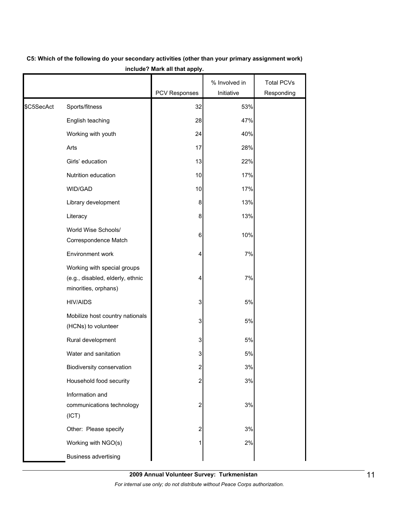|            |                                                                                         | PCV Responses           | % Involved in<br>Initiative | <b>Total PCVs</b><br>Responding |
|------------|-----------------------------------------------------------------------------------------|-------------------------|-----------------------------|---------------------------------|
| \$C5SecAct | Sports/fitness                                                                          | 32                      | 53%                         |                                 |
|            | English teaching                                                                        | 28                      | 47%                         |                                 |
|            | Working with youth                                                                      | 24                      | 40%                         |                                 |
|            | Arts                                                                                    | 17                      | 28%                         |                                 |
|            | Girls' education                                                                        | 13                      | 22%                         |                                 |
|            | Nutrition education                                                                     | 10                      | 17%                         |                                 |
|            | WID/GAD                                                                                 | 10                      | 17%                         |                                 |
|            | Library development                                                                     | 8                       | 13%                         |                                 |
|            |                                                                                         |                         |                             |                                 |
|            | Literacy                                                                                | 8                       | 13%                         |                                 |
|            | World Wise Schools/<br>Correspondence Match                                             | 6                       | 10%                         |                                 |
|            | Environment work                                                                        | 4                       | 7%                          |                                 |
|            | Working with special groups<br>(e.g., disabled, elderly, ethnic<br>minorities, orphans) | 4                       | 7%                          |                                 |
|            | <b>HIV/AIDS</b>                                                                         | 3                       | 5%                          |                                 |
|            | Mobilize host country nationals<br>(HCNs) to volunteer                                  | 3                       | 5%                          |                                 |
|            | Rural development                                                                       | 3                       | 5%                          |                                 |
|            | Water and sanitation                                                                    | 3                       | 5%                          |                                 |
|            | Biodiversity conservation                                                               | $\overline{2}$          | 3%                          |                                 |
|            | Household food security                                                                 | $\overline{c}$          | $3%$                        |                                 |
|            | Information and<br>communications technology<br>(ICT)                                   | $\overline{\mathbf{c}}$ | 3%                          |                                 |
|            | Other: Please specify                                                                   | $\overline{\mathbf{c}}$ | 3%                          |                                 |
|            | Working with NGO(s)                                                                     | 1                       | 2%                          |                                 |
|            | <b>Business advertising</b>                                                             |                         |                             |                                 |

# **C5: Which of the following do your secondary activities (other than your primary assignment work) include? Mark all that apply.**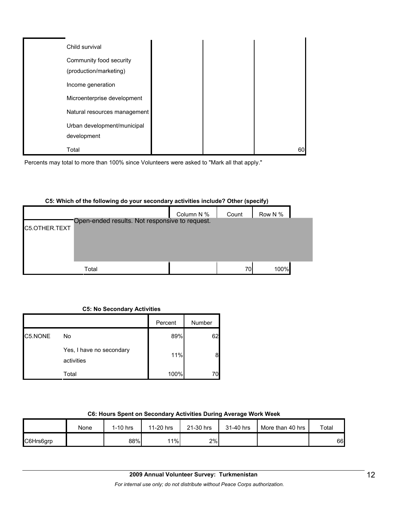| Child survival                                    |  |    |
|---------------------------------------------------|--|----|
| Community food security<br>(production/marketing) |  |    |
| Income generation                                 |  |    |
| Microenterprise development                       |  |    |
| Natural resources management                      |  |    |
| Urban development/municipal<br>development        |  |    |
| Total                                             |  | 60 |

Percents may total to more than 100% since Volunteers were asked to "Mark all that apply."

|               |                                                | Column N % | Count | Row N % |
|---------------|------------------------------------------------|------------|-------|---------|
|               | Open-ended results. Not responsive to request. |            |       |         |
| C5.OTHER.TEXT |                                                |            |       |         |
|               |                                                |            |       |         |
|               |                                                |            |       |         |
|               |                                                |            |       |         |
|               |                                                |            |       |         |
|               | Total                                          |            | 70    | 100%    |

### **C5: Which of the following do your secondary activities include? Other (specify)**

# **C5: No Secondary Activities**

|         |                                        | Percent | Number |
|---------|----------------------------------------|---------|--------|
| C5.NONE | No                                     | 89%     | 62     |
|         | Yes, I have no secondary<br>activities | 11%     | 8      |
|         | Total                                  | 100%    | 70     |

# **C6: Hours Spent on Secondary Activities During Average Work Week**

|           | None | 1-10 hrs | 11-20 hrs | 21-30 hrs | 31-40 hrs | More than 40 hrs | Total |
|-----------|------|----------|-----------|-----------|-----------|------------------|-------|
| C6Hrs6grp |      | 88%      | 11%       | 2%        |           |                  | 66    |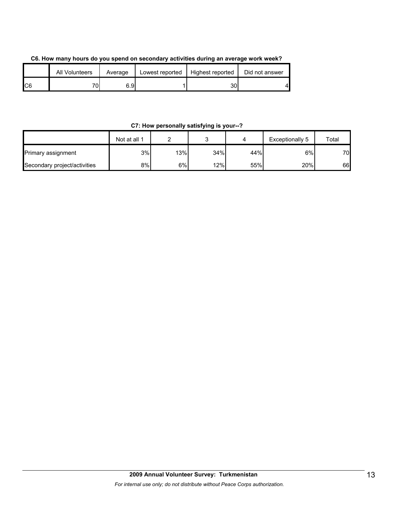| C6. How many hours do you spend on secondary activities during an average work week? |  |
|--------------------------------------------------------------------------------------|--|
|--------------------------------------------------------------------------------------|--|

|     | All Volunteers | Average | Lowest reported | Highest reported | Did not answer |
|-----|----------------|---------|-----------------|------------------|----------------|
| IC6 | 70.            | 6.9I    |                 | 301              |                |

# **C7: How personally satisfying is your--?**

|                              | Not at all 1 |     |     |     | Exceptionally 5 | Total |
|------------------------------|--------------|-----|-----|-----|-----------------|-------|
| Primary assignment           | 3%           | 13% | 34% | 44% | 6%              | 70    |
| Secondary project/activities | 8%           | 6%  | 12% | 55% | 20%             | 66    |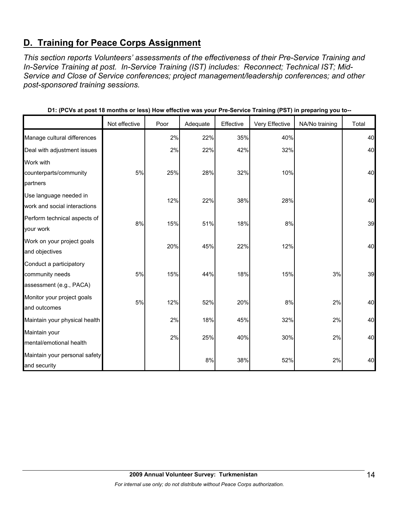# **D. Training for Peace Corps Assignment**

*This section reports Volunteers' assessments of the effectiveness of their Pre-Service Training and In-Service Training at post. In-Service Training (IST) includes: Reconnect; Technical IST; Mid-Service and Close of Service conferences; project management/leadership conferences; and other post-sponsored training sessions.* 

|                                                                       | Not effective | Poor | Adequate | Effective | Very Effective | NA/No training | Total |
|-----------------------------------------------------------------------|---------------|------|----------|-----------|----------------|----------------|-------|
| Manage cultural differences                                           |               | 2%   | 22%      | 35%       | 40%            |                | 40    |
| Deal with adjustment issues                                           |               | 2%   | 22%      | 42%       | 32%            |                | 40    |
| Work with<br>counterparts/community<br>partners                       | 5%            | 25%  | 28%      | 32%       | 10%            |                | 40    |
| Use language needed in<br>work and social interactions                |               | 12%  | 22%      | 38%       | 28%            |                | 40    |
| Perform technical aspects of<br>your work                             | 8%            | 15%  | 51%      | 18%       | 8%             |                | 39    |
| Work on your project goals<br>and objectives                          |               | 20%  | 45%      | 22%       | 12%            |                | 40    |
| Conduct a participatory<br>community needs<br>assessment (e.g., PACA) | 5%            | 15%  | 44%      | 18%       | 15%            | 3%             | 39    |
| Monitor your project goals<br>and outcomes                            | 5%            | 12%  | 52%      | 20%       | 8%             | 2%             | 40    |
| Maintain your physical health                                         |               | 2%   | 18%      | 45%       | 32%            | 2%             | 40    |
| Maintain your<br>mental/emotional health                              |               | 2%   | 25%      | 40%       | 30%            | 2%             | 40    |
| Maintain your personal safety<br>and security                         |               |      | 8%       | 38%       | 52%            | 2%             | 40    |

**D1: (PCVs at post 18 months or less) How effective was your Pre-Service Training (PST) in preparing you to--**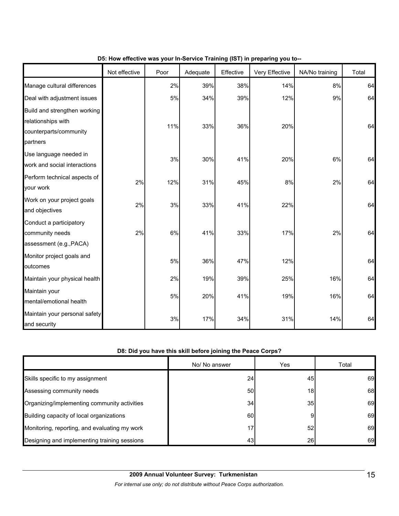|                                                                                          | Not effective | Poor | Adequate | Effective | Very Effective | NA/No training | Total |
|------------------------------------------------------------------------------------------|---------------|------|----------|-----------|----------------|----------------|-------|
| Manage cultural differences                                                              |               | 2%   | 39%      | 38%       | 14%            | 8%             | 64    |
| Deal with adjustment issues                                                              |               | 5%   | 34%      | 39%       | 12%            | 9%             | 64    |
| Build and strengthen working<br>relationships with<br>counterparts/community<br>partners |               | 11%  | 33%      | 36%       | 20%            |                | 64    |
| Use language needed in<br>work and social interactions                                   |               | 3%   | 30%      | 41%       | 20%            | 6%             | 64    |
| Perform technical aspects of<br>your work                                                | 2%            | 12%  | 31%      | 45%       | 8%             | 2%             | 64    |
| Work on your project goals<br>and objectives                                             | 2%            | 3%   | 33%      | 41%       | 22%            |                | 64    |
| Conduct a participatory<br>community needs<br>assessment (e.g., PACA)                    | 2%            | 6%   | 41%      | 33%       | 17%            | 2%             | 64    |
| Monitor project goals and<br>outcomes                                                    |               | 5%   | 36%      | 47%       | 12%            |                | 64    |
| Maintain your physical health                                                            |               | 2%   | 19%      | 39%       | 25%            | 16%            | 64    |
| Maintain your<br>mental/emotional health                                                 |               | 5%   | 20%      | 41%       | 19%            | 16%            | 64    |
| Maintain your personal safety<br>and security                                            |               | 3%   | 17%      | 34%       | 31%            | 14%            | 64    |

# **D5: How effective was your In-Service Training (IST) in preparing you to--**

# **D8: Did you have this skill before joining the Peace Corps?**

|                                               | No/ No answer   | Yes             | Total |
|-----------------------------------------------|-----------------|-----------------|-------|
| Skills specific to my assignment              | 24              | 45              | 69    |
| Assessing community needs                     | 50 <sub>l</sub> | 18 <sub>1</sub> | 68    |
| Organizing/implementing community activities  | 34              | 35 <sub>1</sub> | 69    |
| Building capacity of local organizations      | 60              |                 | 69    |
| Monitoring, reporting, and evaluating my work | 17              | 52              | 69    |
| Designing and implementing training sessions  | 43              | 26              | 69    |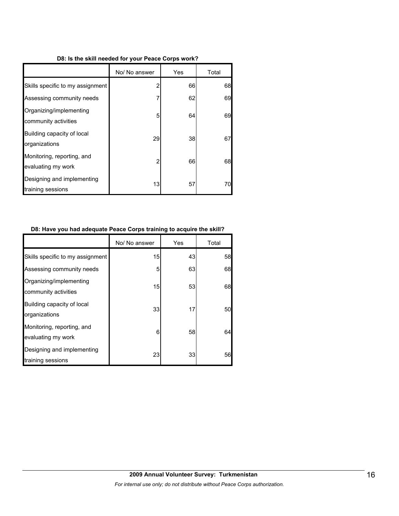### **D8: Is the skill needed for your Peace Corps work?**

|                                                  | No/ No answer | Yes | Total |
|--------------------------------------------------|---------------|-----|-------|
| Skills specific to my assignment                 | 2             | 66  | 68    |
| Assessing community needs                        | 7             | 62  | 69    |
| Organizing/implementing<br>community activities  | 5             | 64  | 69    |
| Building capacity of local<br>organizations      | 29            | 38  | 67    |
| Monitoring, reporting, and<br>evaluating my work | 2             | 66  | 68    |
| Designing and implementing<br>training sessions  | 13            | 57  | 70    |

### **D8: Have you had adequate Peace Corps training to acquire the skill?**

|                                                  | No/ No answer | Yes | Total |
|--------------------------------------------------|---------------|-----|-------|
| Skills specific to my assignment                 | 15            | 43  | 58    |
| Assessing community needs                        | 5             | 63  | 68    |
| Organizing/implementing<br>community activities  | 15            | 53  | 68    |
| Building capacity of local<br>organizations      | 33            | 17  | 50    |
| Monitoring, reporting, and<br>evaluating my work | 6             | 58  | 64    |
| Designing and implementing<br>training sessions  | 23            | 33  | 56    |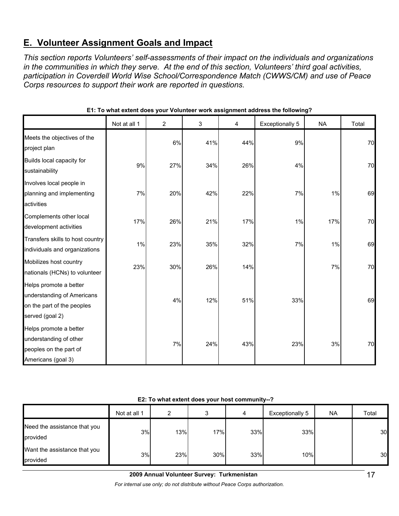# **E. Volunteer Assignment Goals and Impact**

*This section reports Volunteers' self-assessments of their impact on the individuals and organizations in the communities in which they serve. At the end of this section, Volunteers' third goal activities, participation in Coverdell World Wise School/Correspondence Match (CWWS/CM) and use of Peace Corps resources to support their work are reported in questions.* 

|                                                                                                       | Not at all 1 | $\overline{2}$ | 3   | 4   | <b>Exceptionally 5</b> | <b>NA</b> | Total |
|-------------------------------------------------------------------------------------------------------|--------------|----------------|-----|-----|------------------------|-----------|-------|
| Meets the objectives of the<br>project plan                                                           |              | 6%             | 41% | 44% | 9%                     |           | 70    |
| Builds local capacity for<br>sustainability                                                           | 9%           | 27%            | 34% | 26% | 4%                     |           | 70    |
| Involves local people in<br>planning and implementing<br>activities                                   | 7%           | 20%            | 42% | 22% | 7%                     | 1%        | 69    |
| Complements other local<br>development activities                                                     | 17%          | 26%            | 21% | 17% | $1\%$                  | 17%       | 70    |
| Transfers skills to host country<br>individuals and organizations                                     | 1%           | 23%            | 35% | 32% | 7%                     | 1%        | 69    |
| Mobilizes host country<br>nationals (HCNs) to volunteer                                               | 23%          | 30%            | 26% | 14% |                        | 7%        | 70    |
| Helps promote a better<br>understanding of Americans<br>on the part of the peoples<br>served (goal 2) |              | 4%             | 12% | 51% | 33%                    |           | 69    |
| Helps promote a better<br>understanding of other<br>peoples on the part of<br>Americans (goal 3)      |              | 7%             | 24% | 43% | 23%                    | 3%        | 70    |

**E1: To what extent does your Volunteer work assignment address the following?**

| E2: To what extent does your host community--? |
|------------------------------------------------|
|------------------------------------------------|

|                                          | Not at all 1 | ົ   |     | 4   | Exceptionally 5 | <b>NA</b> | Total |
|------------------------------------------|--------------|-----|-----|-----|-----------------|-----------|-------|
| Need the assistance that you<br>provided | 3%           | 13% | 17% | 33% | 33%             |           | 30    |
| Want the assistance that you<br>provided | 3%           | 23% | 30% | 33% | 10%             |           | 30    |

**2009 Annual Volunteer Survey: Turkmenistan** 

*For internal use only; do not distribute without Peace Corps authorization.*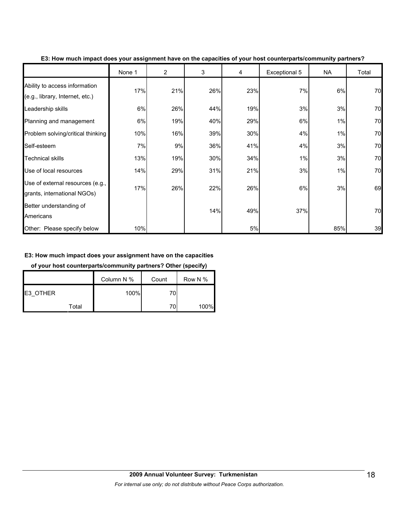|                                                                  | None 1 | $\overline{2}$ | $\mathsf 3$ | 4   | Exceptional 5 | <b>NA</b> | Total |
|------------------------------------------------------------------|--------|----------------|-------------|-----|---------------|-----------|-------|
| Ability to access information<br>(e.g., library, Internet, etc.) | 17%    | 21%            | 26%         | 23% | 7%            | 6%        | 70    |
| Leadership skills                                                | 6%     | 26%            | 44%         | 19% | 3%            | 3%        | 70    |
| Planning and management                                          | 6%     | 19%            | 40%         | 29% | 6%            | 1%        | 70    |
| Problem solving/critical thinking                                | 10%    | 16%            | 39%         | 30% | 4%            | 1%        | 70    |
| Self-esteem                                                      | 7%     | 9%             | 36%         | 41% | 4%            | 3%        | 70    |
| <b>Technical skills</b>                                          | 13%    | 19%            | 30%         | 34% | 1%            | 3%        | 70    |
| Use of local resources                                           | 14%    | 29%            | 31%         | 21% | 3%            | 1%        | 70    |
| Use of external resources (e.g.,<br>grants, international NGOs)  | 17%    | 26%            | 22%         | 26% | 6%            | 3%        | 69    |
| Better understanding of<br>Americans                             |        |                | 14%         | 49% | 37%           |           | 70    |
| Other: Please specify below                                      | 10%    |                |             | 5%  |               | 85%       | 39    |

#### **E3: How much impact does your assignment have on the capacities of your host counterparts/community partners?**

# **E3: How much impact does your assignment have on the capacities**

**of your host counterparts/community partners? Other (specify)**

|          | Column N % | Count | Row N % |
|----------|------------|-------|---------|
| E3 OTHER | 100%       | 70    |         |
| Total    |            | 70    | 100%    |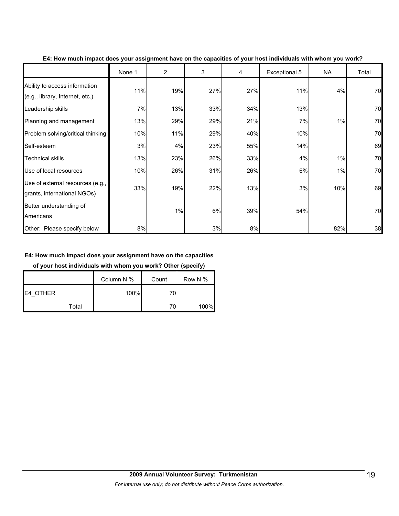|                                                                  | None 1 | $\overline{2}$ | 3   | 4   | Exceptional 5 | <b>NA</b> | Total |
|------------------------------------------------------------------|--------|----------------|-----|-----|---------------|-----------|-------|
| Ability to access information<br>(e.g., library, Internet, etc.) | 11%    | 19%            | 27% | 27% | 11%           | 4%        | 70    |
| Leadership skills                                                | 7%     | 13%            | 33% | 34% | 13%           |           | 70    |
| Planning and management                                          | 13%    | 29%            | 29% | 21% | 7%            | 1%        | 70    |
| Problem solving/critical thinking                                | 10%    | 11%            | 29% | 40% | 10%           |           | 70    |
| Self-esteem                                                      | 3%     | 4%             | 23% | 55% | 14%           |           | 69    |
| <b>Technical skills</b>                                          | 13%    | 23%            | 26% | 33% | 4%            | 1%        | 70    |
| Use of local resources                                           | 10%    | 26%            | 31% | 26% | 6%            | 1%        | 70    |
| Use of external resources (e.g.,<br>grants, international NGOs)  | 33%    | 19%            | 22% | 13% | 3%            | 10%       | 69    |
| Better understanding of<br>Americans                             |        | 1%             | 6%  | 39% | 54%           |           | 70    |
| Other: Please specify below                                      | 8%     |                | 3%  | 8%  |               | 82%       | 38    |

#### **E4: How much impact does your assignment have on the capacities of your host individuals with whom you work?**

### **E4: How much impact does your assignment have on the capacities**

**of your host individuals with whom you work? Other (specify)**

|                  |       | Column N % | Count | Row N % |
|------------------|-------|------------|-------|---------|
| <b>IE4 OTHER</b> |       | 100%       | 70    |         |
|                  | Total |            | 70    | 100%    |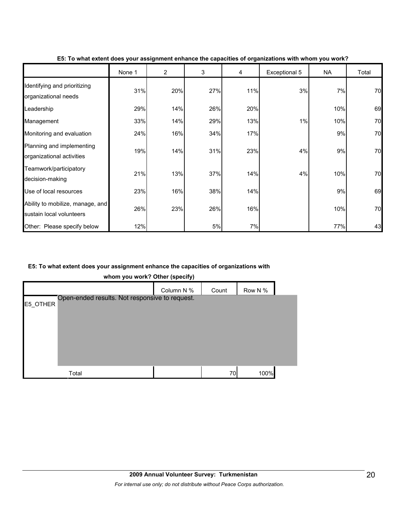|                                                              | None 1 | 2   | 3   | 4   | Exceptional 5 | NA  | Total |
|--------------------------------------------------------------|--------|-----|-----|-----|---------------|-----|-------|
| Identifying and prioritizing<br>organizational needs         | 31%    | 20% | 27% | 11% | 3%            | 7%  | 70    |
| Leadership                                                   | 29%    | 14% | 26% | 20% |               | 10% | 69    |
| Management                                                   | 33%    | 14% | 29% | 13% | 1%            | 10% | 70    |
| Monitoring and evaluation                                    | 24%    | 16% | 34% | 17% |               | 9%  | 70    |
| Planning and implementing<br>organizational activities       | 19%    | 14% | 31% | 23% | 4%            | 9%  | 70    |
| Teamwork/participatory<br>decision-making                    | 21%    | 13% | 37% | 14% | 4%            | 10% | 70    |
| Use of local resources                                       | 23%    | 16% | 38% | 14% |               | 9%  | 69    |
| Ability to mobilize, manage, and<br>sustain local volunteers | 26%    | 23% | 26% | 16% |               | 10% | 70    |
| Other: Please specify below                                  | 12%    |     | 5%  | 7%  |               | 77% | 43    |

### **E5: To what extent does your assignment enhance the capacities of organizations with whom you work?**

# **E5: To what extent does your assignment enhance the capacities of organizations with**



**whom you work? Other (specify)**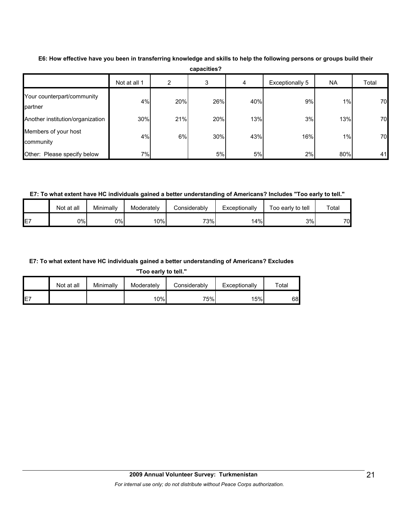| <u>oupuonuo .</u>                     |              |     |     |     |                 |     |       |
|---------------------------------------|--------------|-----|-----|-----|-----------------|-----|-------|
|                                       | Not at all 1 | 2   | 3   | 4   | Exceptionally 5 | NA. | Total |
| Your counterpart/community<br>partner | 4%           | 20% | 26% | 40% | 9%              | 1%  | 70    |
| Another institution/organization      | 30%          | 21% | 20% | 13% | 3%              | 13% | 70    |
| Members of your host<br>community     | 4%           | 6%  | 30% | 43% | 16%             | 1%  | 70    |
| Other: Please specify below           | 7%           |     | 5%  | 5%  | 2%              | 80% | 41    |

**E6: How effective have you been in transferring knowledge and skills to help the following persons or groups build their capacities?**

**E7: To what extent have HC individuals gained a better understanding of Americans? Includes "Too early to tell."**

|    | Not at all | Minimally | Moderately | Considerably | Exceptionally | Too early to tell | Total |
|----|------------|-----------|------------|--------------|---------------|-------------------|-------|
| E7 | 0%l        | $0\%$     | 10%        | 73%          | 14%           | 3%                | 70    |

#### **E7: To what extent have HC individuals gained a better understanding of Americans? Excludes**

**"Too early to tell."**

|     | Not at all | Minimally | Moderately | Considerably | Exceptionally | $\tau$ otal |
|-----|------------|-----------|------------|--------------|---------------|-------------|
| IE7 |            |           | 10%        | 75%          | 15%           | 68          |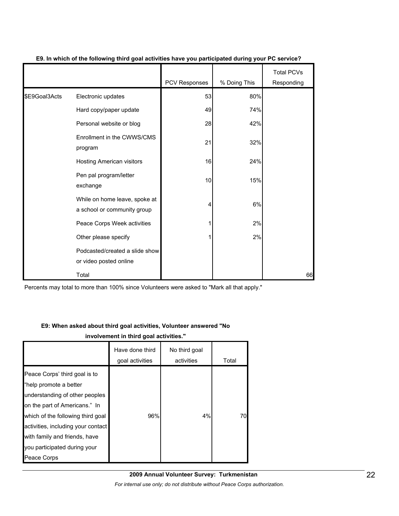|               |                                                              | PCV Responses | % Doing This | <b>Total PCVs</b><br>Responding |
|---------------|--------------------------------------------------------------|---------------|--------------|---------------------------------|
|               |                                                              |               |              |                                 |
| \$E9Goal3Acts | Electronic updates                                           | 53            | 80%          |                                 |
|               | Hard copy/paper update                                       | 49            | 74%          |                                 |
|               | Personal website or blog                                     | 28            | 42%          |                                 |
|               | Enrollment in the CWWS/CMS<br>program                        | 21            | 32%          |                                 |
|               | Hosting American visitors                                    | 16            | 24%          |                                 |
|               | Pen pal program/letter<br>exchange                           | 10            | 15%          |                                 |
|               | While on home leave, spoke at<br>a school or community group | 4             | 6%           |                                 |
|               | Peace Corps Week activities                                  |               | 2%           |                                 |
|               | Other please specify                                         | 1             | 2%           |                                 |
|               | Podcasted/created a slide show<br>or video posted online     |               |              |                                 |
|               | Total                                                        |               |              | 66                              |

# **E9. In which of the following third goal activities have you participated during your PC service?**

Percents may total to more than 100% since Volunteers were asked to "Mark all that apply."

### **E9: When asked about third goal activities, Volunteer answered "No**

# **involvement in third goal activities."**

|                                                                                                                                                                                                                                                                                       | Have done third<br>goal activities | No third goal<br>activities | Total |
|---------------------------------------------------------------------------------------------------------------------------------------------------------------------------------------------------------------------------------------------------------------------------------------|------------------------------------|-----------------------------|-------|
| Peace Corps' third goal is to<br>"help promote a better<br>understanding of other peoples<br>on the part of Americans." In<br>which of the following third goal<br>activities, including your contact<br>with family and friends, have<br>you participated during your<br>Peace Corps | 96%                                | 4%                          | 70    |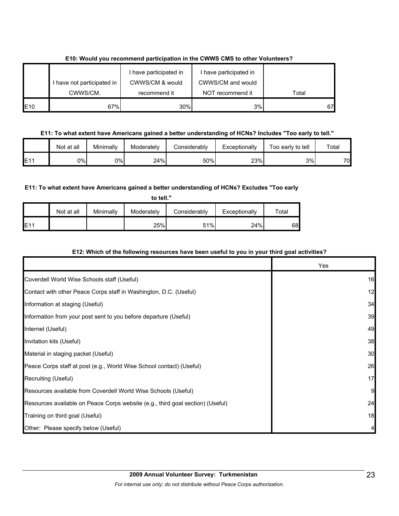|                 |                            | I have participated in | I have participated in |       |
|-----------------|----------------------------|------------------------|------------------------|-------|
|                 | I have not participated in | CWWS/CM & would        | CWWS/CM and would      |       |
|                 | CWWS/CM.                   | recommend it           | NOT recommend it       | Total |
| E <sub>10</sub> | 67%                        | 30%                    | 3%                     | 67    |

# **E10: Would you recommend participation in the CWWS CMS to other Volunteers?**

# **E11: To what extent have Americans gained a better understanding of HCNs? Includes "Too early to tell."**

|     | Not at all | Minimally | Moderately | <b>Considerably</b> | Exceptionally | Too early to<br>tell | Total |
|-----|------------|-----------|------------|---------------------|---------------|----------------------|-------|
| E11 | 0%l        | 0%        | 24%        | 50%                 | 23%           | 3%                   | 70    |

# **E11: To what extent have Americans gained a better understanding of HCNs? Excludes "Too early**

|     | to tell."  |           |            |              |               |       |  |  |  |  |  |
|-----|------------|-----------|------------|--------------|---------------|-------|--|--|--|--|--|
|     | Not at all | Minimally | Moderately | Considerably | Exceptionally | Total |  |  |  |  |  |
| E11 |            |           | 25%        | 51%          | 24%           | 68    |  |  |  |  |  |

# **E12: Which of the following resources have been useful to you in your third goal activities?**

|                                                                                | Yes |
|--------------------------------------------------------------------------------|-----|
| Coverdell World Wise Schools staff (Useful)                                    | 16  |
| Contact with other Peace Corps staff in Washington, D.C. (Useful)              | 12  |
| Information at staging (Useful)                                                | 34  |
| Information from your post sent to you before departure (Useful)               | 39  |
| Internet (Useful)                                                              | 49  |
| Invitation kits (Useful)                                                       | 38  |
| Material in staging packet (Useful)                                            | 30  |
| Peace Corps staff at post (e.g., World Wise School contact) (Useful)           | 26  |
| Recruiting (Useful)                                                            | 17  |
| Resources available from Coverdell World Wise Schools (Useful)                 | 9   |
| Resources available on Peace Corps website (e.g., third goal section) (Useful) | 24  |
| Training on third goal (Useful)                                                | 18  |
| Other: Please specify below (Useful)                                           |     |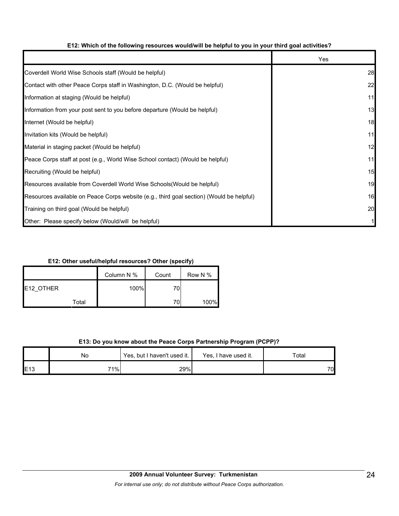# **E12: Which of the following resources would/will be helpful to you in your third goal activities?**

|                                                                                          | Yes |
|------------------------------------------------------------------------------------------|-----|
| Coverdell World Wise Schools staff (Would be helpful)                                    | 28  |
| Contact with other Peace Corps staff in Washington, D.C. (Would be helpful)              | 22  |
| Information at staging (Would be helpful)                                                | 11  |
| Information from your post sent to you before departure (Would be helpful)               | 13  |
| Internet (Would be helpful)                                                              | 18  |
| Invitation kits (Would be helpful)                                                       | 11  |
| Material in staging packet (Would be helpful)                                            | 12  |
| Peace Corps staff at post (e.g., World Wise School contact) (Would be helpful)           | 11  |
| Recruiting (Would be helpful)                                                            | 15  |
| Resources available from Coverdell World Wise Schools (Would be helpful)                 | 19  |
| Resources available on Peace Corps website (e.g., third goal section) (Would be helpful) | 16  |
| Training on third goal (Would be helpful)                                                | 20  |
| Other: Please specify below (Would/will be helpful)                                      |     |

# **E12: Other useful/helpful resources? Other (specify)**

|           | Column N % | Count | Row N % |
|-----------|------------|-------|---------|
| E12 OTHER | 100%       | 70    |         |
| Total     |            | 70    | 100%    |

# **E13: Do you know about the Peace Corps Partnership Program (PCPP)?**

|     | No  | Yes, but I haven't used it. | Yes, I have used it. | Total |
|-----|-----|-----------------------------|----------------------|-------|
| E13 | 71% | 29%                         |                      | 70    |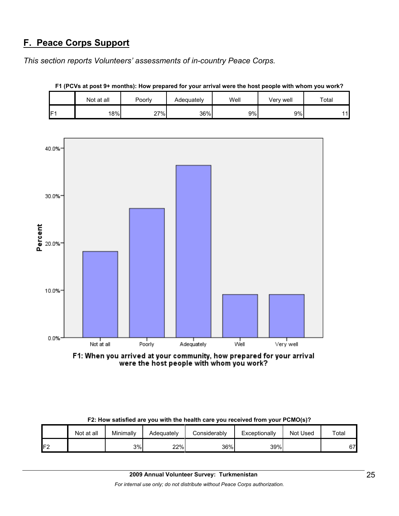# **F. Peace Corps Support**

*This section reports Volunteers' assessments of in-country Peace Corps.* 

|     | Not at all | Poorly | Adequately | Well | Verv well | Total |
|-----|------------|--------|------------|------|-----------|-------|
| IF1 | 18%        | 27%    | 36%        | 9%   | 9%        | 14    |

**F1 (PCVs at post 9+ months): How prepared for your arrival were the host people with whom you work?**



F1: When you arrived at your community, how prepared for your arrival were the host people with whom you work?

|     | Not at all | Minimally | Adequately | Considerably | Exceptionally | Not Used | Total |
|-----|------------|-----------|------------|--------------|---------------|----------|-------|
| IF2 |            | 3%        | 22%        | 36%          | 39%           |          | 67    |

**F2: How satisfied are you with the health care you received from your PCMO(s)?**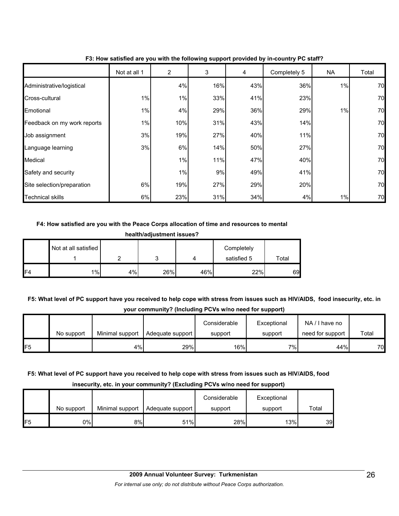|                             | Not at all 1 | 2   | 3   | 4   | Completely 5 | <b>NA</b> | Total |
|-----------------------------|--------------|-----|-----|-----|--------------|-----------|-------|
| Administrative/logistical   |              | 4%  | 16% | 43% | 36%          | 1%        | 70    |
| Cross-cultural              | $1\%$        | 1%  | 33% | 41% | 23%          |           | 70    |
| Emotional                   | $1\%$        | 4%  | 29% | 36% | 29%          | 1%        | 70    |
| Feedback on my work reports | 1%           | 10% | 31% | 43% | 14%          |           | 70    |
| Job assignment              | 3%           | 19% | 27% | 40% | 11%          |           | 70    |
| Language learning           | 3%           | 6%  | 14% | 50% | 27%          |           | 70    |
| Medical                     |              | 1%  | 11% | 47% | 40%          |           | 70    |
| Safety and security         |              | 1%  | 9%  | 49% | 41%          |           | 70    |
| Site selection/preparation  | 6%           | 19% | 27% | 29% | 20%          |           | 70    |
| <b>Technical skills</b>     | 6%           | 23% | 31% | 34% | 4%           | 1%        | 70    |

**F3: How satisfied are you with the following support provided by in-country PC staff?**

### **F4: How satisfied are you with the Peace Corps allocation of time and resources to mental**

|                | health/adjustment issues? |    |     |     |                           |             |  |  |  |  |  |  |
|----------------|---------------------------|----|-----|-----|---------------------------|-------------|--|--|--|--|--|--|
|                | Not at all satisfied      |    | 2   |     | Completely<br>satisfied 5 | $\tau$ otal |  |  |  |  |  |  |
| F <sub>4</sub> | 1%                        | 4% | 26% | 46% | 22%                       | 69          |  |  |  |  |  |  |

**F5: What level of PC support have you received to help cope with stress from issues such as HIV/AIDS, food insecurity, etc. in your community? (Including PCVs w/no need for support)**

|                 | No support | Minimal support | Adequate support I | Considerable<br>support | Exceptional<br>support | NA/I have no<br>need for support | Total |
|-----------------|------------|-----------------|--------------------|-------------------------|------------------------|----------------------------------|-------|
| IF <sub>5</sub> |            | 4%              | 29%                | 16%                     | 7%                     | 44%                              | 70    |

# **F5: What level of PC support have you received to help cope with stress from issues such as HIV/AIDS, food**

**insecurity, etc. in your community? (Excluding PCVs w/no need for support)**

|     |            |                 |                  | Considerable | Exceptional |       |
|-----|------------|-----------------|------------------|--------------|-------------|-------|
|     | No support | Minimal support | Adequate support | support      | support     | Total |
| IF5 | 0%         | 8%              | 51%              | 28%          | 13%         | 39    |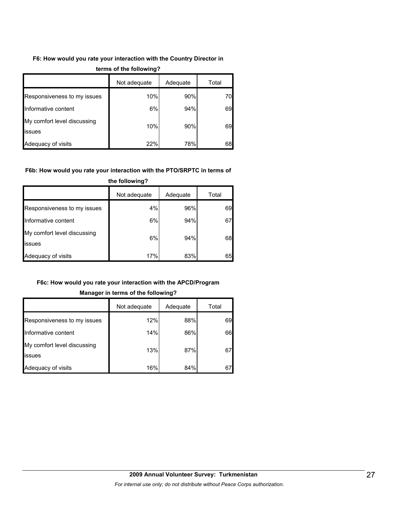# **F6: How would you rate your interaction with the Country Director in**

|                                       | Not adequate | Adequate | Total |
|---------------------------------------|--------------|----------|-------|
| Responsiveness to my issues           | 10%          | 90%      | 70    |
| Informative content                   | 6%           | 94%      | 69    |
| My comfort level discussing<br>issues | 10%          | 90%      | 69    |
| Adequacy of visits                    | 22%          | 78%      | 68    |

## **terms of the following?**

### **F6b: How would you rate your interaction with the PTO/SRPTC in terms of**

|                                       | Not adequate | Adequate | Total |
|---------------------------------------|--------------|----------|-------|
| Responsiveness to my issues           | 4%           | 96%      | 69    |
| Informative content                   | 6%           | 94%      | 67    |
| My comfort level discussing<br>issues | 6%           | 94%      | 68    |
| Adequacy of visits                    | 17%          | 83%      | 65    |

# **the following?**

#### **F6c: How would you rate your interaction with the APCD/Program**

# **Manager in terms of the following?**

|                                       | Not adequate | Adequate | Total |
|---------------------------------------|--------------|----------|-------|
| Responsiveness to my issues           | 12%          | 88%      | 69    |
| Informative content                   | 14%          | 86%      | 66    |
| My comfort level discussing<br>issues | 13%          | 87%      | 67    |
| Adequacy of visits                    | 16%          | 84%      | 67    |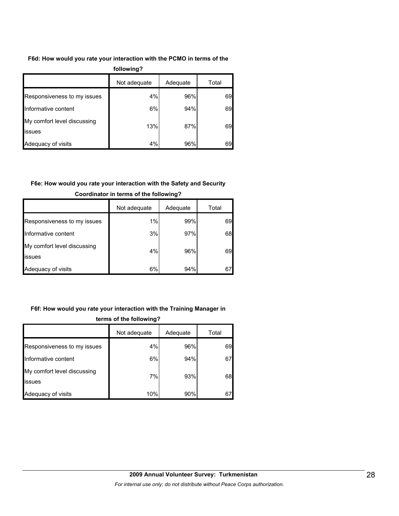# **F6d: How would you rate your interaction with the PCMO in terms of the**

| following?                            |              |          |       |
|---------------------------------------|--------------|----------|-------|
|                                       | Not adequate | Adequate | Total |
| Responsiveness to my issues           | 4%           | 96%      | 69    |
| Informative content                   | 6%           | 94%      | 69    |
| My comfort level discussing<br>issues | 13%          | 87%      | 69    |
| Adequacy of visits                    | 4%           | 96%      | 69    |

# **F6e: How would you rate your interaction with the Safety and Security**

|                                       | Not adequate | Adequate | Total |
|---------------------------------------|--------------|----------|-------|
| Responsiveness to my issues           | 1%           | 99%      | 69    |
| Informative content                   | 3%           | 97%      | 68    |
| My comfort level discussing<br>issues | 4%           | 96%      | 69    |
| Adequacy of visits                    | 6%           | 94%      | 6.    |

# **Coordinator in terms of the following?**

# **F6f: How would you rate your interaction with the Training Manager in**

| terms of the following?               |              |          |       |
|---------------------------------------|--------------|----------|-------|
|                                       | Not adequate | Adequate | Total |
| Responsiveness to my issues           | 4%           | 96%      | 69    |
| Informative content                   | 6%           | 94%      | 67    |
| My comfort level discussing<br>issues | 7%           | 93%      | 68    |
| Adequacy of visits                    | 10%          | 90%      | 67    |

# **2009 Annual Volunteer Survey: Turkmenistan**  *For internal use only; do not distribute without Peace Corps authorization.*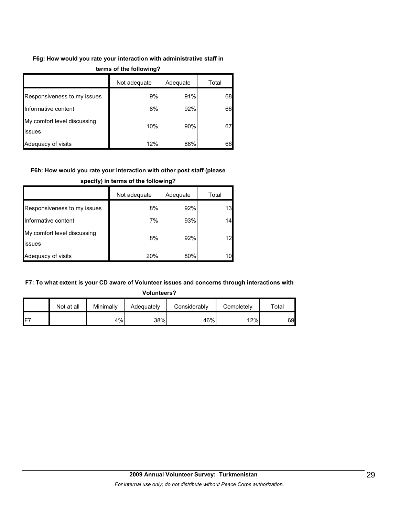# **F6g: How would you rate your interaction with administrative staff in**

|                                       | Not adequate | Adequate | Total |
|---------------------------------------|--------------|----------|-------|
| Responsiveness to my issues           | 9%           | 91%      | 68    |
| Informative content                   | 8%           | 92%      | 66    |
| My comfort level discussing<br>issues | 10%          | 90%      | 67    |
| Adequacy of visits                    | 12%          | 88%      | 66    |

### **terms of the following?**

### **F6h: How would you rate your interaction with other post staff (please**

|                                       | Not adequate | Adequate | Total |
|---------------------------------------|--------------|----------|-------|
| Responsiveness to my issues           | 8%           | 92%      | 13    |
| Informative content                   | 7%           | 93%      | 14    |
| My comfort level discussing<br>issues | 8%           | 92%      | 12    |
| Adequacy of visits                    | 20%          | 80%      | 10    |

#### **specify) in terms of the following?**

#### **F7: To what extent is your CD aware of Volunteer issues and concerns through interactions with**

**Volunteers?** Not at all | Minimally | Adequately | Considerably | Completely | Total F7 4% 38% 46% 12% 69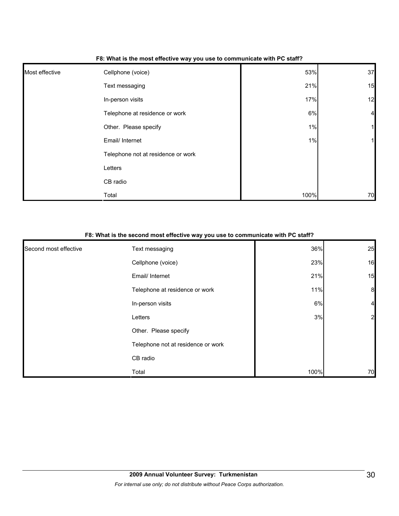| F8: What is the most effective way you use to communicate with PC staff? |  |
|--------------------------------------------------------------------------|--|
|                                                                          |  |

| Most effective | Cellphone (voice)                  | 53%  | 37             |
|----------------|------------------------------------|------|----------------|
|                | Text messaging                     | 21%  | 15             |
|                | In-person visits                   | 17%  | 12             |
|                | Telephone at residence or work     | 6%   | $\overline{4}$ |
|                | Other. Please specify              | 1%   | 1              |
|                | Email/ Internet                    | 1%   | 11             |
|                | Telephone not at residence or work |      |                |
|                | Letters                            |      |                |
|                | CB radio                           |      |                |
|                | Total                              | 100% | 70             |

| Second most effective | Text messaging                     | 36%  | 25               |
|-----------------------|------------------------------------|------|------------------|
|                       | Cellphone (voice)                  | 23%  | 16               |
|                       | Email/ Internet                    | 21%  | 15               |
|                       | Telephone at residence or work     | 11%  | $\boldsymbol{8}$ |
|                       | In-person visits                   | 6%   | $\overline{4}$   |
|                       | Letters                            | 3%   | 2                |
|                       | Other. Please specify              |      |                  |
|                       | Telephone not at residence or work |      |                  |
|                       | CB radio                           |      |                  |
|                       | Total                              | 100% | 70               |

### **F8: What is the second most effective way you use to communicate with PC staff?**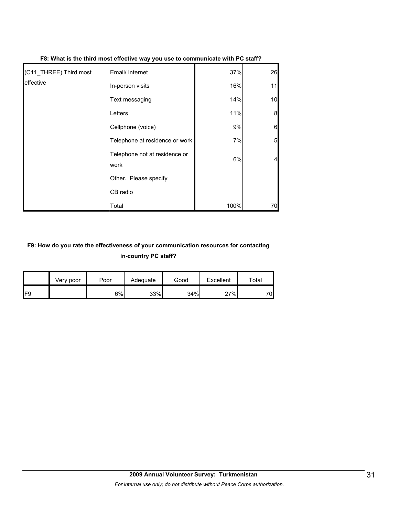| (C11_THREE) Third most | Email/ Internet                       | 37%  | 26             |
|------------------------|---------------------------------------|------|----------------|
| effective              | In-person visits                      | 16%  | 11             |
|                        | Text messaging                        | 14%  | 10             |
|                        | Letters                               | 11%  | 8              |
|                        | Cellphone (voice)                     | 9%   | $6 \,$         |
|                        | Telephone at residence or work        | 7%   | 5 <sub>5</sub> |
|                        | Telephone not at residence or<br>work | 6%   |                |
|                        | Other. Please specify                 |      |                |
|                        | CB radio                              |      |                |
|                        | Total                                 | 100% | 70             |

**F8: What is the third most effective way you use to communicate with PC staff?**

# **F9: How do you rate the effectiveness of your communication resources for contacting in-country PC staff?**

|     | Very poor | Poor  | Adequate | Good | Excellent | Total |
|-----|-----------|-------|----------|------|-----------|-------|
| IF9 |           | $6\%$ | 33%      | 34%  | 27%       | 70    |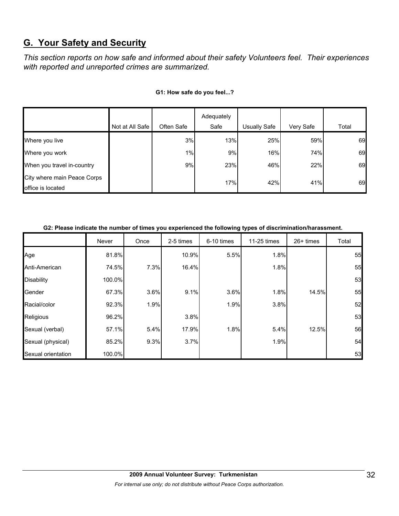# **G. Your Safety and Security**

*This section reports on how safe and informed about their safety Volunteers feel. Their experiences with reported and unreported crimes are summarized.* 

|                                                  | Not at All Safe | Often Safe | Adequately<br>Safe | Usually Safe | Very Safe | Total |
|--------------------------------------------------|-----------------|------------|--------------------|--------------|-----------|-------|
|                                                  |                 |            |                    |              |           |       |
| Where you live                                   |                 | 3%         | 13%                | 25%          | 59%       | 69    |
| Where you work                                   |                 | 1%         | 9%                 | 16%          | 74%       | 69    |
| When you travel in-country                       |                 | 9%         | 23%                | 46%          | 22%       | 69    |
| City where main Peace Corps<br>office is located |                 |            | 17%                | 42%          | 41%       | 69    |

### **G1: How safe do you feel...?**

| G2: Please indicate the number of times you experienced the following types of discrimination/harassment. |  |
|-----------------------------------------------------------------------------------------------------------|--|
|                                                                                                           |  |

|                    | Never  | Once | 2-5 times | 6-10 times | 11-25 times | 26+ times | Total |
|--------------------|--------|------|-----------|------------|-------------|-----------|-------|
| Age                | 81.8%  |      | 10.9%     | 5.5%       | 1.8%        |           | 55    |
| Anti-American      | 74.5%  | 7.3% | 16.4%     |            | 1.8%        |           | 55    |
| <b>Disability</b>  | 100.0% |      |           |            |             |           | 53    |
| Gender             | 67.3%  | 3.6% | 9.1%      | 3.6%       | 1.8%        | 14.5%     | 55    |
| Racial/color       | 92.3%  | 1.9% |           | 1.9%       | 3.8%        |           | 52    |
| Religious          | 96.2%  |      | 3.8%      |            |             |           | 53    |
| Sexual (verbal)    | 57.1%  | 5.4% | 17.9%     | 1.8%       | 5.4%        | 12.5%     | 56    |
| Sexual (physical)  | 85.2%  | 9.3% | 3.7%      |            | 1.9%        |           | 54    |
| Sexual orientation | 100.0% |      |           |            |             |           | 53    |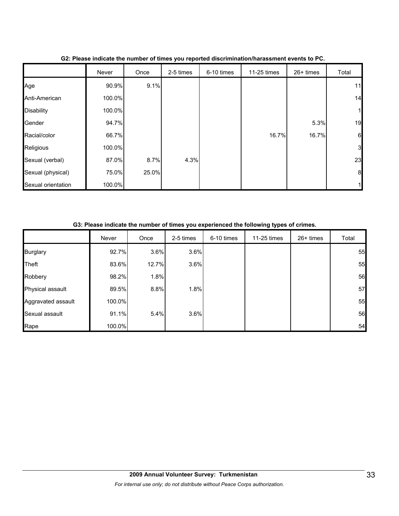|                    | Never  | Once  | 2-5 times | 6-10 times | 11-25 times | 26+ times | Total          |
|--------------------|--------|-------|-----------|------------|-------------|-----------|----------------|
| Age                | 90.9%  | 9.1%  |           |            |             |           | 11             |
| Anti-American      | 100.0% |       |           |            |             |           | 14             |
| <b>Disability</b>  | 100.0% |       |           |            |             |           | 1              |
| Gender             | 94.7%  |       |           |            |             | 5.3%      | 19             |
| Racial/color       | 66.7%  |       |           |            | 16.7%       | 16.7%     | 6              |
| Religious          | 100.0% |       |           |            |             |           | 3 <sup>l</sup> |
| Sexual (verbal)    | 87.0%  | 8.7%  | 4.3%      |            |             |           | 23             |
| Sexual (physical)  | 75.0%  | 25.0% |           |            |             |           | 8 <sup>1</sup> |
| Sexual orientation | 100.0% |       |           |            |             |           | 1              |

### **G2: Please indicate the number of times you reported discrimination/harassment events to PC.**

**G3: Please indicate the number of times you experienced the following types of crimes.**

|                    | Never  | Once  | 2-5 times | 6-10 times | 11-25 times | $26+$ times | Total |
|--------------------|--------|-------|-----------|------------|-------------|-------------|-------|
| <b>Burglary</b>    | 92.7%  | 3.6%  | 3.6%      |            |             |             | 55    |
| Theft              | 83.6%  | 12.7% | 3.6%      |            |             |             | 55    |
| Robbery            | 98.2%  | 1.8%  |           |            |             |             | 56    |
| Physical assault   | 89.5%  | 8.8%  | 1.8%      |            |             |             | 57    |
| Aggravated assault | 100.0% |       |           |            |             |             | 55    |
| Sexual assault     | 91.1%  | 5.4%  | 3.6%      |            |             |             | 56    |
| Rape               | 100.0% |       |           |            |             |             | 54    |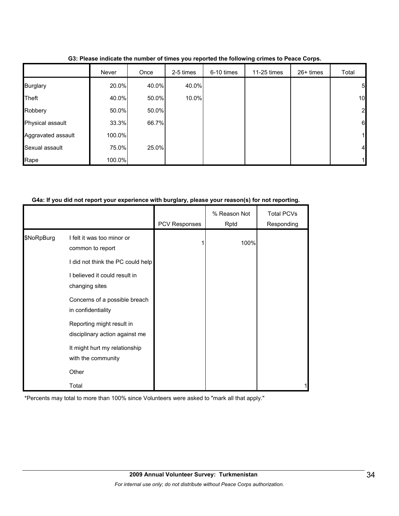|                    | Never  | Once  | 2-5 times | 6-10 times | 11-25 times | $26+$ times | Total          |
|--------------------|--------|-------|-----------|------------|-------------|-------------|----------------|
| <b>Burglary</b>    | 20.0%  | 40.0% | 40.0%     |            |             |             | $5 \mid$       |
| Theft              | 40.0%  | 50.0% | 10.0%     |            |             |             | 10             |
| Robbery            | 50.0%  | 50.0% |           |            |             |             | $\mathbf{2}$   |
| Physical assault   | 33.3%  | 66.7% |           |            |             |             | 6              |
| Aggravated assault | 100.0% |       |           |            |             |             |                |
| Sexual assault     | 75.0%  | 25.0% |           |            |             |             | $\overline{4}$ |
| Rape               | 100.0% |       |           |            |             |             |                |

**G3: Please indicate the number of times you reported the following crimes to Peace Corps.**

# **G4a: If you did not report your experience with burglary, please your reason(s) for not reporting.**

|            |                                                             |                      | % Reason Not | <b>Total PCVs</b> |
|------------|-------------------------------------------------------------|----------------------|--------------|-------------------|
|            |                                                             | <b>PCV Responses</b> | Rptd         | Responding        |
| \$NoRpBurg | I felt it was too minor or<br>common to report              |                      | 100%         |                   |
|            | I did not think the PC could help                           |                      |              |                   |
|            | I believed it could result in<br>changing sites             |                      |              |                   |
|            | Concerns of a possible breach<br>in confidentiality         |                      |              |                   |
|            | Reporting might result in<br>disciplinary action against me |                      |              |                   |
|            | It might hurt my relationship<br>with the community         |                      |              |                   |
|            | Other                                                       |                      |              |                   |
|            | Total                                                       |                      |              |                   |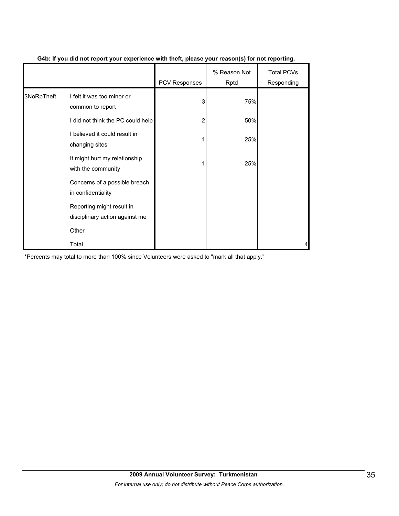|             |                                                             | PCV Responses | % Reason Not<br>Rptd | <b>Total PCVs</b><br>Responding |
|-------------|-------------------------------------------------------------|---------------|----------------------|---------------------------------|
| \$NoRpTheft | I felt it was too minor or<br>common to report              | 3             | 75%                  |                                 |
|             | I did not think the PC could help                           | 2             | 50%                  |                                 |
|             | I believed it could result in<br>changing sites             |               | 25%                  |                                 |
|             | It might hurt my relationship<br>with the community         |               | 25%                  |                                 |
|             | Concerns of a possible breach<br>in confidentiality         |               |                      |                                 |
|             | Reporting might result in<br>disciplinary action against me |               |                      |                                 |
|             | Other                                                       |               |                      |                                 |
|             | Total                                                       |               |                      |                                 |

# **G4b: If you did not report your experience with theft, please your reason(s) for not reporting.**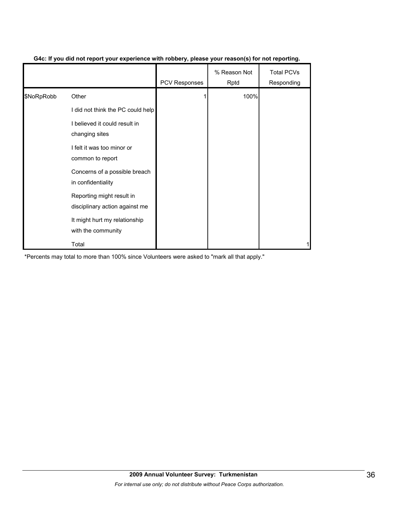|            |                                                             | PCV Responses | % Reason Not<br>Rptd | <b>Total PCVs</b><br>Responding |
|------------|-------------------------------------------------------------|---------------|----------------------|---------------------------------|
| \$NoRpRobb | Other                                                       |               | 100%                 |                                 |
|            | I did not think the PC could help                           |               |                      |                                 |
|            | I believed it could result in<br>changing sites             |               |                      |                                 |
|            | I felt it was too minor or<br>common to report              |               |                      |                                 |
|            | Concerns of a possible breach<br>in confidentiality         |               |                      |                                 |
|            | Reporting might result in<br>disciplinary action against me |               |                      |                                 |
|            | It might hurt my relationship<br>with the community         |               |                      |                                 |
|            | Total                                                       |               |                      |                                 |

### **G4c: If you did not report your experience with robbery, please your reason(s) for not reporting.**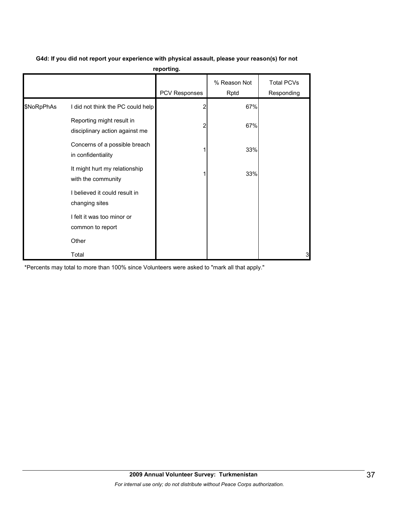|            |                                                             | PCV Responses | % Reason Not<br>Rptd | <b>Total PCVs</b><br>Responding |
|------------|-------------------------------------------------------------|---------------|----------------------|---------------------------------|
|            |                                                             |               |                      |                                 |
| \$NoRpPhAs | I did not think the PC could help                           |               | 67%                  |                                 |
|            | Reporting might result in<br>disciplinary action against me |               | 67%                  |                                 |
|            | Concerns of a possible breach<br>in confidentiality         |               | 33%                  |                                 |
|            | It might hurt my relationship<br>with the community         |               | 33%                  |                                 |
|            | I believed it could result in<br>changing sites             |               |                      |                                 |
|            | I felt it was too minor or<br>common to report              |               |                      |                                 |
|            | Other                                                       |               |                      |                                 |
|            | Total                                                       |               |                      | 3                               |

**G4d: If you did not report your experience with physical assault, please your reason(s) for not reporting.**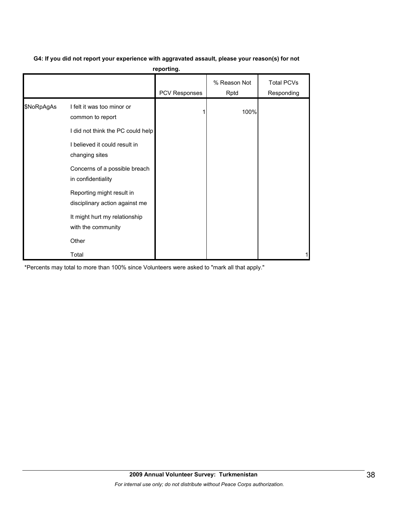| G4: If you did not report your experience with aggravated assault, please your reason(s) for not |
|--------------------------------------------------------------------------------------------------|
| reporting.                                                                                       |

|            |                                                             | .                    |                      |                                 |
|------------|-------------------------------------------------------------|----------------------|----------------------|---------------------------------|
|            |                                                             | <b>PCV Responses</b> | % Reason Not<br>Rptd | <b>Total PCVs</b><br>Responding |
| \$NoRpAgAs | I felt it was too minor or<br>common to report              |                      | 100%                 |                                 |
|            | I did not think the PC could help                           |                      |                      |                                 |
|            | I believed it could result in<br>changing sites             |                      |                      |                                 |
|            | Concerns of a possible breach<br>in confidentiality         |                      |                      |                                 |
|            | Reporting might result in<br>disciplinary action against me |                      |                      |                                 |
|            | It might hurt my relationship<br>with the community         |                      |                      |                                 |
|            | Other                                                       |                      |                      |                                 |
|            | Total                                                       |                      |                      |                                 |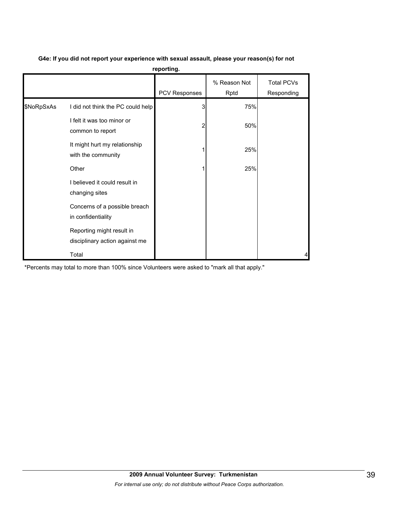|            |                                                             | reporting.    |                      |                                 |
|------------|-------------------------------------------------------------|---------------|----------------------|---------------------------------|
|            |                                                             | PCV Responses | % Reason Not<br>Rptd | <b>Total PCVs</b><br>Responding |
| \$NoRpSxAs | I did not think the PC could help                           | 3             | 75%                  |                                 |
|            | I felt it was too minor or<br>common to report              | 2             | 50%                  |                                 |
|            | It might hurt my relationship<br>with the community         |               | 25%                  |                                 |
|            | Other                                                       |               | 25%                  |                                 |
|            | I believed it could result in<br>changing sites             |               |                      |                                 |
|            | Concerns of a possible breach<br>in confidentiality         |               |                      |                                 |
|            | Reporting might result in<br>disciplinary action against me |               |                      |                                 |
|            | Total                                                       |               |                      | 4                               |

# **G4e: If you did not report your experience with sexual assault, please your reason(s) for not**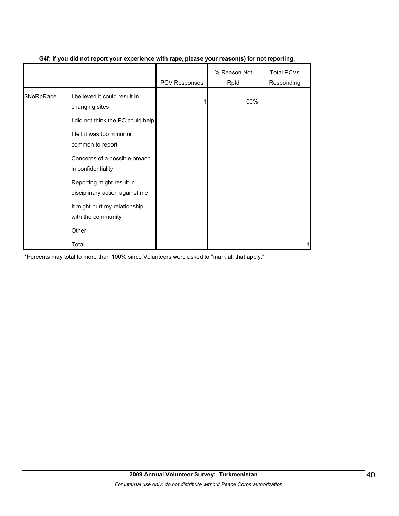|            |                                                             | <b>PCV Responses</b> | % Reason Not<br>Rptd | <b>Total PCVs</b><br>Responding |
|------------|-------------------------------------------------------------|----------------------|----------------------|---------------------------------|
| \$NoRpRape | I believed it could result in<br>changing sites             |                      | 100%                 |                                 |
|            | I did not think the PC could help                           |                      |                      |                                 |
|            | I felt it was too minor or<br>common to report              |                      |                      |                                 |
|            | Concerns of a possible breach<br>in confidentiality         |                      |                      |                                 |
|            | Reporting might result in<br>disciplinary action against me |                      |                      |                                 |
|            | It might hurt my relationship<br>with the community         |                      |                      |                                 |
|            | Other                                                       |                      |                      |                                 |
|            | Total                                                       |                      |                      |                                 |

# **G4f: If you did not report your experience with rape, please your reason(s) for not reporting.**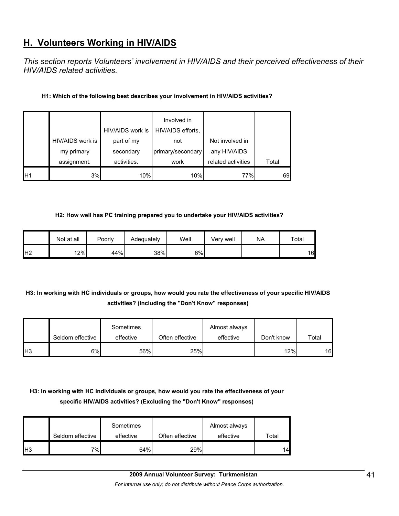# **H. Volunteers Working in HIV/AIDS**

*This section reports Volunteers' involvement in HIV/AIDS and their perceived effectiveness of their HIV/AIDS related activities.* 

# **H1: Which of the following best describes your involvement in HIV/AIDS activities?**

|                 |                  | HIV/AIDS work is | Involved in<br>HIV/AIDS efforts, |                    |       |
|-----------------|------------------|------------------|----------------------------------|--------------------|-------|
|                 | HIV/AIDS work is | part of my       | not                              | Not involved in    |       |
|                 | my primary       | secondary        | primary/secondary                | any HIV/AIDS       |       |
|                 | assignment.      | activities.      | work                             | related activities | Total |
| IH <sub>1</sub> | 3%               | 10%              | 10%                              | 77%                | 69    |

### **H2: How well has PC training prepared you to undertake your HIV/AIDS activities?**

|     | Not at all | Poorly | Adequately | Well | Verv well | <b>NA</b> | Total |
|-----|------------|--------|------------|------|-----------|-----------|-------|
| IH2 | 12%        | 44%    | 38%        | 6%   |           |           | 16    |

# **H3: In working with HC individuals or groups, how would you rate the effectiveness of your specific HIV/AIDS activities? (Including the "Don't Know" responses)**

|                 | Seldom effective | Sometimes<br>effective | Often effective | Almost always<br>effective | Don't know | Total |
|-----------------|------------------|------------------------|-----------------|----------------------------|------------|-------|
|                 |                  |                        |                 |                            |            |       |
| IH <sub>3</sub> | 6%l              | 56%                    | 25%             |                            | 12%        | 16    |

# **H3: In working with HC individuals or groups, how would you rate the effectiveness of your specific HIV/AIDS activities? (Excluding the "Don't Know" responses)**

|                | Seldom effective | Sometimes<br>effective | Often effective | Almost always<br>effective | Total |
|----------------|------------------|------------------------|-----------------|----------------------------|-------|
| H <sub>3</sub> | 7%               | 64%                    | 29%             |                            | 14    |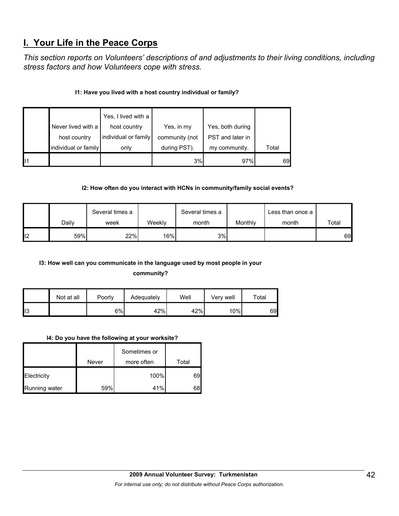# **I. Your Life in the Peace Corps**

*This section reports on Volunteers' descriptions of and adjustments to their living conditions, including stress factors and how Volunteers cope with stress.* 

# **I1: Have you lived with a host country individual or family?**

|    |                      | Yes, I lived with a  |                |                  |       |
|----|----------------------|----------------------|----------------|------------------|-------|
|    | Never lived with a   | host country         | Yes, in my     | Yes, both during |       |
|    | host country         | individual or family | community (not | PST and later in |       |
|    | individual or family | only                 | during PST).   | my community.    | Total |
| 11 |                      |                      | 3%             | 97%              | 69    |

# **I2: How often do you interact with HCNs in community/family social events?**

|     | Several times a |      | Several times a |       | Less than once a |       |       |
|-----|-----------------|------|-----------------|-------|------------------|-------|-------|
|     | Dailv           | week | Weekly          | month | Monthly          | month | Total |
| ll2 | 59%             | 22%  | 16%             | 3%    |                  |       | 69    |

# **I3: How well can you communicate in the language used by most people in your**

**community?** 

|     | Not at all | Poorly | Adequately | Well | Verv well | Total |
|-----|------------|--------|------------|------|-----------|-------|
| II3 |            | 6%l    | 42%        | 42%  | 10%       | 69    |

# **I4: Do you have the following at your worksite?**

|               | Never | Sometimes or<br>more often | Total |
|---------------|-------|----------------------------|-------|
| Electricity   |       | 100%                       | 69    |
| Running water | 59%   | 41%                        | 68    |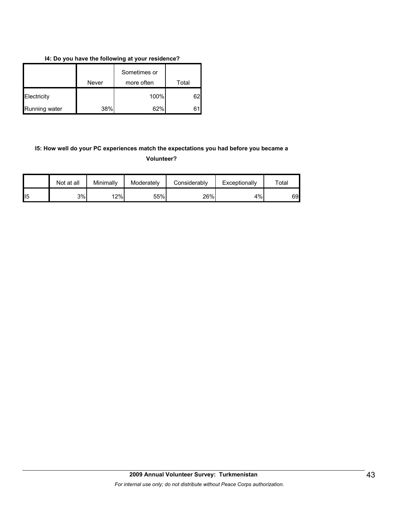### **I4: Do you have the following at your residence?**

|               | Never | Sometimes or<br>more often | Total |
|---------------|-------|----------------------------|-------|
| Electricity   |       | 100%                       | 62    |
| Running water | 38%   | 62%                        |       |

# **I5: How well do your PC experiences match the expectations you had before you became a Volunteer?**

|                | Not at all | Minimally | Moderately | Considerably | Exceptionally | $\tau$ otal |
|----------------|------------|-----------|------------|--------------|---------------|-------------|
| $\mathsf{II}5$ | 3%         | 12%       | 55%        | 26%          | 4%            | 69          |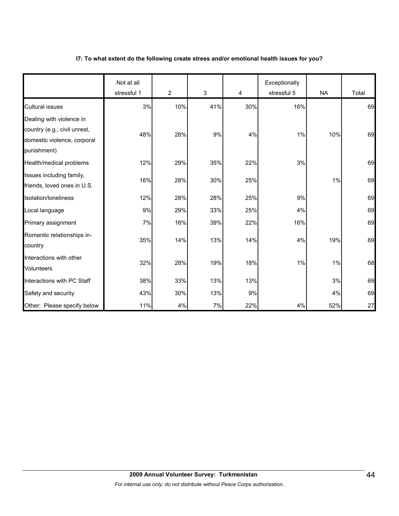### **I7: To what extent do the following create stress and/or emotional health issues for you?**

|                                                                                                        | Not at all<br>stressful 1 | $\overline{2}$ | 3   | 4   | Exceptionally<br>stressful 5 | <b>NA</b> | Total |
|--------------------------------------------------------------------------------------------------------|---------------------------|----------------|-----|-----|------------------------------|-----------|-------|
| <b>Cultural issues</b>                                                                                 | 3%                        | 10%            | 41% | 30% | 16%                          |           | 69    |
| Dealing with violence in<br>country (e.g., civil unrest,<br>domestic violence, corporal<br>punishment) | 48%                       | 28%            | 9%  | 4%  | 1%                           | 10%       | 69    |
| Health/medical problems                                                                                | 12%                       | 29%            | 35% | 22% | 3%                           |           | 69    |
| Issues including family,<br>friends, loved ones in U.S.                                                | 16%                       | 28%            | 30% | 25% |                              | 1%        | 69    |
| Isolation/loneliness                                                                                   | 12%                       | 28%            | 28% | 25% | 9%                           |           | 69    |
| Local language                                                                                         | 9%                        | 29%            | 33% | 25% | 4%                           |           | 69    |
| Primary assignment                                                                                     | 7%                        | 16%            | 39% | 22% | 16%                          |           | 69    |
| Romantic relationships in-<br>country                                                                  | 35%                       | 14%            | 13% | 14% | 4%                           | 19%       | 69    |
| Interactions with other<br><b>Volunteers</b>                                                           | 32%                       | 28%            | 19% | 18% | 1%                           | 1%        | 68    |
| Interactions with PC Staff                                                                             | 38%                       | 33%            | 13% | 13% |                              | 3%        | 69    |
| Safety and security                                                                                    | 43%                       | 30%            | 13% | 9%  |                              | 4%        | 69    |
| Other: Please specify below                                                                            | 11%                       | 4%             | 7%  | 22% | 4%                           | 52%       | 27    |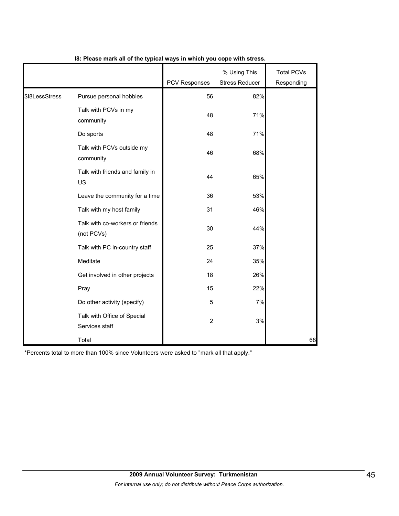|                |                                               | PCV Responses | % Using This<br><b>Stress Reducer</b> | <b>Total PCVs</b><br>Responding |
|----------------|-----------------------------------------------|---------------|---------------------------------------|---------------------------------|
| \$18LessStress | Pursue personal hobbies                       | 56            | 82%                                   |                                 |
|                | Talk with PCVs in my<br>community             | 48            | 71%                                   |                                 |
|                | Do sports                                     | 48            | 71%                                   |                                 |
|                | Talk with PCVs outside my<br>community        | 46            | 68%                                   |                                 |
|                | Talk with friends and family in<br>US         | 44            | 65%                                   |                                 |
|                | Leave the community for a time                | 36            | 53%                                   |                                 |
|                | Talk with my host family                      | 31            | 46%                                   |                                 |
|                | Talk with co-workers or friends<br>(not PCVs) | 30            | 44%                                   |                                 |
|                | Talk with PC in-country staff                 | 25            | 37%                                   |                                 |
|                | Meditate                                      | 24            | 35%                                   |                                 |
|                | Get involved in other projects                | 18            | 26%                                   |                                 |
|                | Pray                                          | 15            | 22%                                   |                                 |
|                | Do other activity (specify)                   | 5             | 7%                                    |                                 |
|                | Talk with Office of Special<br>Services staff | 2             | 3%                                    |                                 |
|                | Total                                         |               |                                       | 68                              |

# **I8: Please mark all of the typical ways in which you cope with stress.**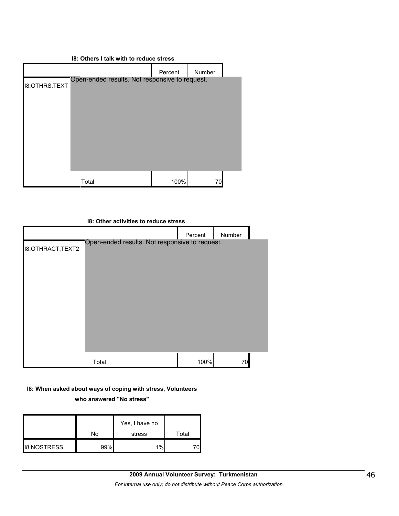### **I8: Others I talk with to reduce stress**

|                      |                                                | Percent | Number |  |
|----------------------|------------------------------------------------|---------|--------|--|
| <b>I8.OTHRS.TEXT</b> | Open-ended results. Not responsive to request. |         |        |  |
|                      |                                                |         |        |  |
|                      |                                                |         |        |  |
|                      |                                                |         |        |  |
|                      |                                                |         |        |  |
|                      |                                                |         |        |  |
|                      |                                                |         |        |  |
|                      | Total                                          | 100%    | 70     |  |

|                         | 18: Other activities to reduce stress          |         |        |  |
|-------------------------|------------------------------------------------|---------|--------|--|
|                         |                                                | Percent | Number |  |
| <b>I8.OTHRACT.TEXT2</b> | Open-ended results. Not responsive to request. |         |        |  |
|                         | Total                                          | 100%    | 70     |  |

# **I8: When asked about ways of coping with stress, Volunteers**

**who answered "No stress"** 

|                    | No  | Yes, I have no<br>stress | Total |
|--------------------|-----|--------------------------|-------|
| <b>I8.NOSTRESS</b> | 99% | $1\%$                    |       |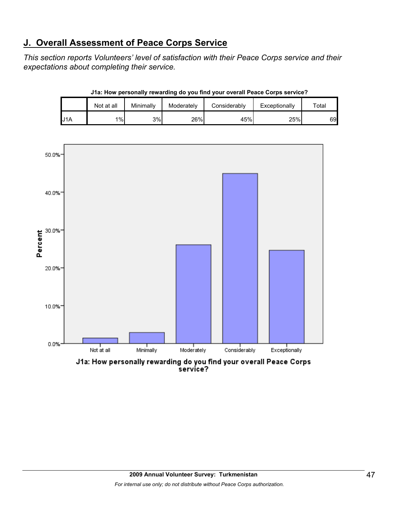# **J. Overall Assessment of Peace Corps Service**

*This section reports Volunteers' level of satisfaction with their Peace Corps service and their expectations about completing their service.* 

|     | Not at all | Minimally | Moderately | Considerably | Exceptionally | ⊤otal |
|-----|------------|-----------|------------|--------------|---------------|-------|
| '1A | 1%         | 3%        | 26%        | 45%          | 25%           | 69    |

**J1a: How personally rewarding do you find your overall Peace Corps service?**



service?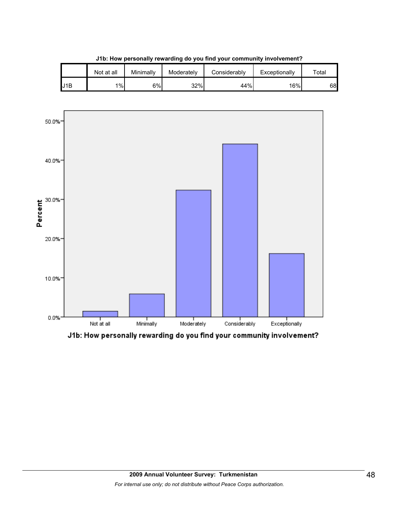|     | Not at all | Minimally | Moderately | Considerablv | Exceptionally | $\tau$ otal |
|-----|------------|-----------|------------|--------------|---------------|-------------|
| J1B | 1%         | 6%l       | 32%        | 44%          | 16%           | 68          |

**J1b: How personally rewarding do you find your community involvement?**



J1b: How personally rewarding do you find your community involvement?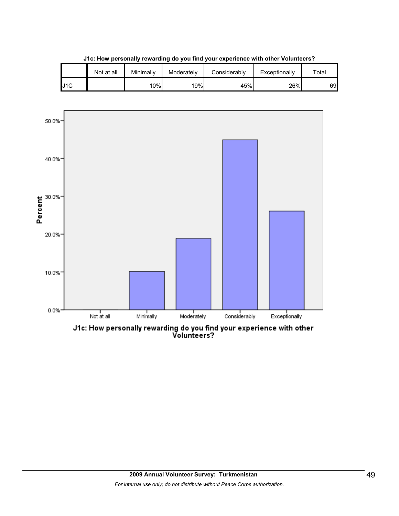|     | Not at all | Minimally | Moderately | Considerablv | Exceptionally | $\tau$ otal |
|-----|------------|-----------|------------|--------------|---------------|-------------|
| J1C |            | 10%       | 19%        | 45%          | 26%           | 69          |

**J1c: How personally rewarding do you find your experience with other Volunteers?**



J1c: How personally rewarding do you find your experience with other<br>Volunteers?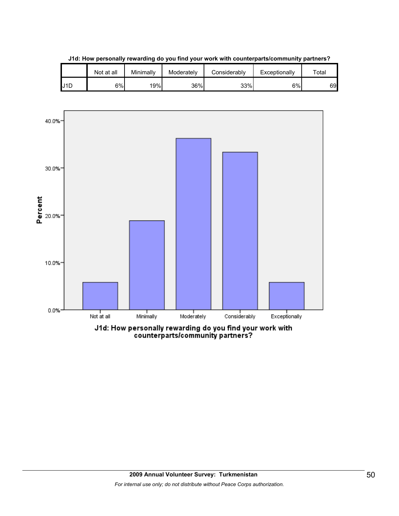|     | Not at all | Minimally | Moderately | Considerably | Exceptionally | $\tau$ otal |
|-----|------------|-----------|------------|--------------|---------------|-------------|
| J1D | 6%         | 19%       | 36%        | 33%          | 6%            | 69          |

**J1d: How personally rewarding do you find your work with counterparts/community partners?**

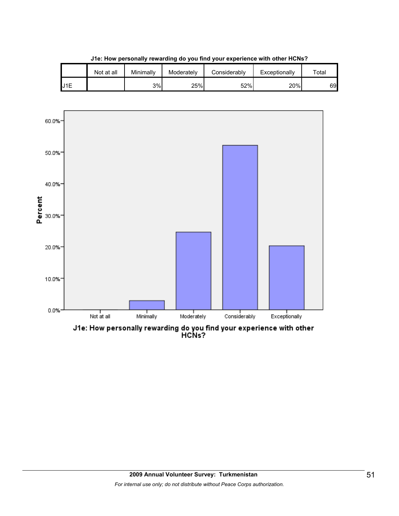![](_page_50_Figure_0.jpeg)

**J1e: How personally rewarding do you find your experience with other HCNs?**

![](_page_50_Figure_2.jpeg)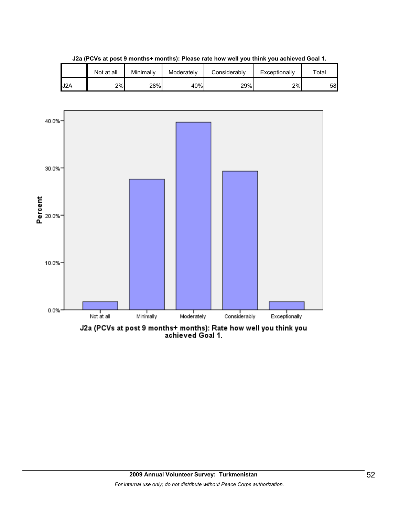![](_page_51_Figure_0.jpeg)

**J2a (PCVs at post 9 months+ months): Please rate how well you think you achieved Goal 1.**

![](_page_51_Figure_2.jpeg)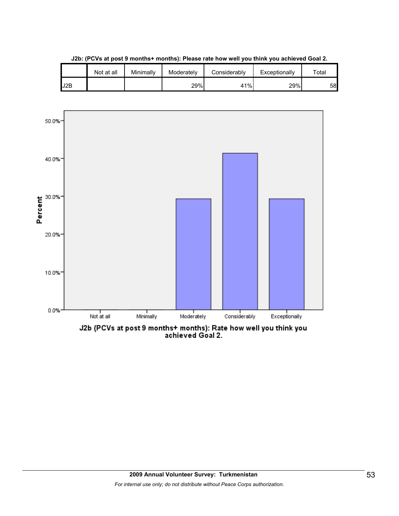|     | Not at all | Minimally | Moderately | Considerably | Exceptionally | $\tau$ otal |
|-----|------------|-----------|------------|--------------|---------------|-------------|
| J2B |            |           | 29%        | 41%          | 29%           | 58          |

**J2b: (PCVs at post 9 months+ months): Please rate how well you think you achieved Goal 2.**

![](_page_52_Figure_2.jpeg)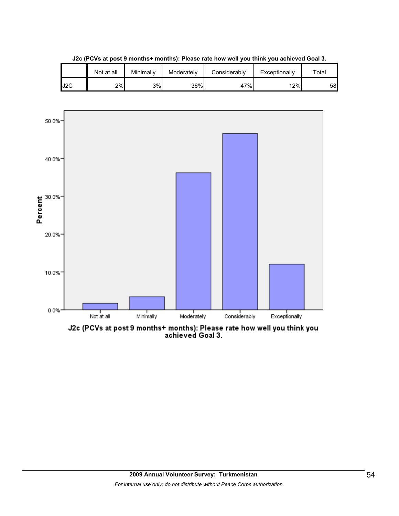![](_page_53_Figure_0.jpeg)

**J2c (PCVs at post 9 months+ months): Please rate how well you think you achieved Goal 3.**

![](_page_53_Figure_2.jpeg)

J2c (PCVs at post 9 months+ months): Please rate how well you think you<br>achieved Goal 3.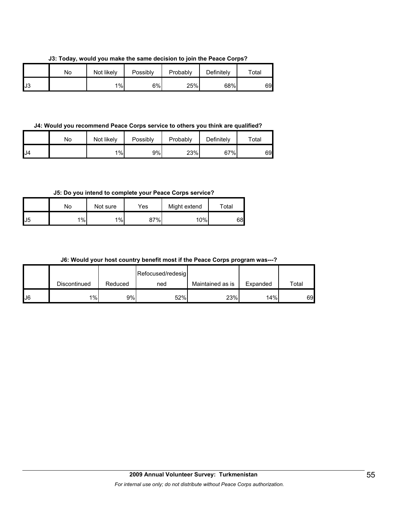**J3: Today, would you make the same decision to join the Peace Corps?**

|    | No | Not likely | Possibly | Probably | Definitely | Total |
|----|----|------------|----------|----------|------------|-------|
| J3 |    | $1\%$      | 6%       | 25%      | 68%        | 69    |

**J4: Would you recommend Peace Corps service to others you think are qualified?**

|     | No | Not likely | Possibly | Probably | Definitely | $\tau$ otal |
|-----|----|------------|----------|----------|------------|-------------|
| IJ4 |    | 1%         | 9%l      | 23%      | 67%        | 69          |

**J5: Do you intend to complete your Peace Corps service?**

|    | No    | Not sure | Yes | Might extend | Total |
|----|-------|----------|-----|--------------|-------|
| J5 | $1\%$ | $\%$     | 87% | 10%          | 68    |

**J6: Would your host country benefit most if the Peace Corps program was---?**

|     |              |         | Refocused/redesig |                  |          |       |
|-----|--------------|---------|-------------------|------------------|----------|-------|
|     | Discontinued | Reduced | ned               | Maintained as is | Expanded | Total |
| IJ6 | $1\%$        | 9%      | 52%               | 23%              | 14%      | 69    |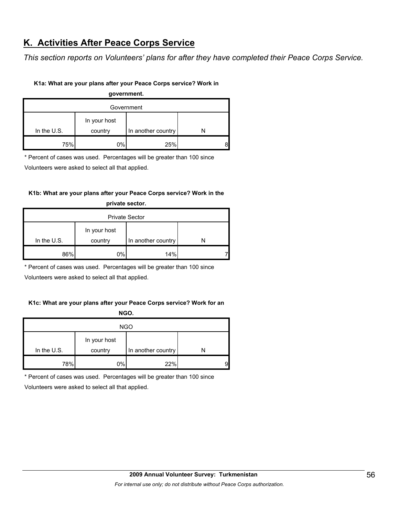# **K. Activities After Peace Corps Service**

*This section reports on Volunteers' plans for after they have completed their Peace Corps Service.* 

### **K1a: What are your plans after your Peace Corps service? Work in**

**government.**

| Government    |              |                    |   |  |  |  |
|---------------|--------------|--------------------|---|--|--|--|
|               | In your host |                    |   |  |  |  |
| In the $U.S.$ | country      | In another country |   |  |  |  |
| 75%           | 0%           | 25%                | 8 |  |  |  |

\* Percent of cases was used. Percentages will be greater than 100 since

Volunteers were asked to select all that applied.

# **K1b: What are your plans after your Peace Corps service? Work in the**

| <b>Private Sector</b> |                         |                    |  |  |  |  |
|-----------------------|-------------------------|--------------------|--|--|--|--|
| In the $U.S.$         | In your host<br>country | In another country |  |  |  |  |
| 86%                   | 0%                      | 14%                |  |  |  |  |

**private sector.**

\* Percent of cases was used. Percentages will be greater than 100 since

Volunteers were asked to select all that applied.

# **K1c: What are your plans after your Peace Corps service? Work for an**

| <b>NGO</b>  |              |                    |   |  |  |  |
|-------------|--------------|--------------------|---|--|--|--|
|             | In your host |                    |   |  |  |  |
| In the U.S. | country      | In another country |   |  |  |  |
| 78%         | 0%           | 22%                | 9 |  |  |  |

\* Percent of cases was used. Percentages will be greater than 100 since

Volunteers were asked to select all that applied.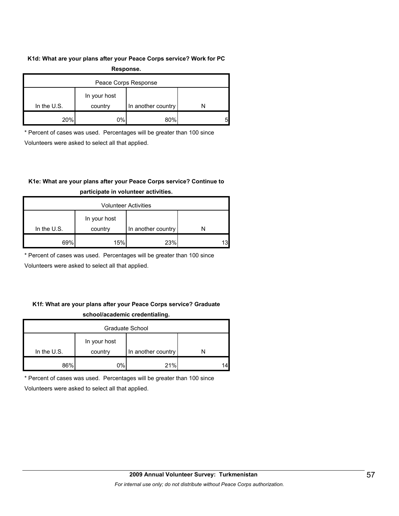#### **K1d: What are your plans after your Peace Corps service? Work for PC**

| Response.            |              |                    |   |  |  |  |  |
|----------------------|--------------|--------------------|---|--|--|--|--|
| Peace Corps Response |              |                    |   |  |  |  |  |
|                      | In your host |                    |   |  |  |  |  |
| In the $U.S.$        | country      | In another country |   |  |  |  |  |
| 20%                  | 0%           | 80%                | 5 |  |  |  |  |

\* Percent of cases was used. Percentages will be greater than 100 since

Volunteers were asked to select all that applied.

# **K1e: What are your plans after your Peace Corps service? Continue to**

| <b>Volunteer Activities</b> |                         |                    |  |  |  |  |
|-----------------------------|-------------------------|--------------------|--|--|--|--|
| In the $U.S.$               | In your host<br>country | In another country |  |  |  |  |
| 69%                         | 15%                     | 23%                |  |  |  |  |

# **participate in volunteer activities.**

\* Percent of cases was used. Percentages will be greater than 100 since

Volunteers were asked to select all that applied.

# **K1f: What are your plans after your Peace Corps service? Graduate school/academic credentialing.**

| Graduate School |              |                    |    |  |  |  |
|-----------------|--------------|--------------------|----|--|--|--|
|                 | In your host |                    |    |  |  |  |
| In the $U.S.$   | country      | In another country |    |  |  |  |
| 86%             | 0%           | 21%                | 14 |  |  |  |

\* Percent of cases was used. Percentages will be greater than 100 since

Volunteers were asked to select all that applied.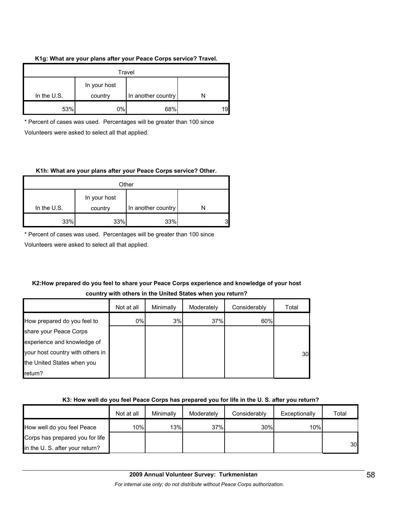### **K1g: What are your plans after your Peace Corps service? Travel.**

| Travel      |                         |                    |     |  |  |  |
|-------------|-------------------------|--------------------|-----|--|--|--|
| In the U.S. | In your host<br>country | In another country |     |  |  |  |
|             |                         |                    |     |  |  |  |
| 53%         | 0%                      | 68%                | 191 |  |  |  |

\* Percent of cases was used. Percentages will be greater than 100 since Volunteers were asked to select all that applied.

### **K1h: What are your plans after your Peace Corps service? Other.**

| In your host |         |                                  |
|--------------|---------|----------------------------------|
|              |         | 3                                |
|              | country | In another country<br>33%<br>33% |

\* Percent of cases was used. Percentages will be greater than 100 since

Volunteers were asked to select all that applied.

# **K2:How prepared do you feel to share your Peace Corps experience and knowledge of your host country with others in the United States when you return?**

|                                  | Not at all | Minimally | Moderately | Considerably | Total |
|----------------------------------|------------|-----------|------------|--------------|-------|
| How prepared do you feel to      | $0\%$      | 3%        | 37%        | 60%          |       |
| share your Peace Corps           |            |           |            |              |       |
| experience and knowledge of      |            |           |            |              |       |
| your host country with others in |            |           |            |              | 30    |
| the United States when you       |            |           |            |              |       |
| return?                          |            |           |            |              |       |

# **K3: How well do you feel Peace Corps has prepared you for life in the U. S. after you return?**

|                                 | Not at all | Minimally | Moderately | Considerably | Exceptionally | Total |
|---------------------------------|------------|-----------|------------|--------------|---------------|-------|
| How well do you feel Peace      | 10%        | 13%       | 37%        | 30%          | 10%           |       |
| Corps has prepared you for life |            |           |            |              |               |       |
| in the U.S. after your return?  |            |           |            |              |               | 30    |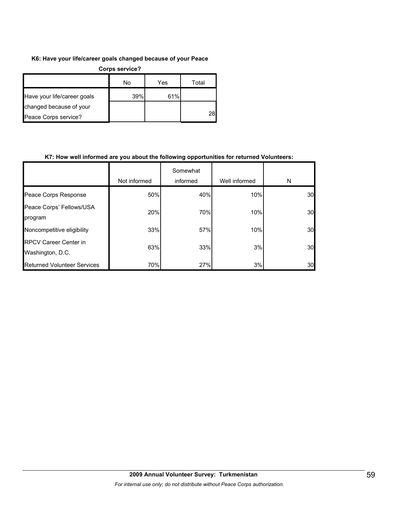### **K6: Have your life/career goals changed because of your Peace**

| <b>Corps service?</b>       |     |     |       |  |
|-----------------------------|-----|-----|-------|--|
|                             | No  | Yes | Total |  |
| Have your life/career goals | 39% | 61% |       |  |
| changed because of your     |     |     |       |  |
| Peace Corps service?        |     |     | 28    |  |

# **K7: How well informed are you about the following opportunities for returned Volunteers:**

|                                                  | Not informed | Somewhat<br>informed | Well informed | N  |
|--------------------------------------------------|--------------|----------------------|---------------|----|
|                                                  |              |                      |               |    |
| Peace Corps Response                             | 50%          | 40%                  | 10%           | 30 |
| Peace Corps' Fellows/USA<br>program              | 20%          | 70%                  | 10%           | 30 |
|                                                  |              |                      |               |    |
| Noncompetitive eligibility                       | 33%          | 57%                  | 10%           | 30 |
| <b>RPCV Career Center in</b><br>Washington, D.C. | 63%          | 33%                  | 3%            | 30 |
| <b>Returned Volunteer Services</b>               | 70%          | 27%                  | 3%            | 30 |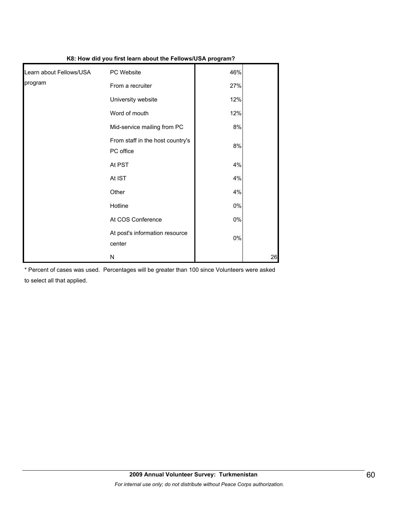| Learn about Fellows/USA | PC Website                                    | 46%   |    |
|-------------------------|-----------------------------------------------|-------|----|
| program                 | From a recruiter                              | 27%   |    |
|                         | University website                            | 12%   |    |
|                         | Word of mouth                                 | 12%   |    |
|                         | Mid-service mailing from PC                   | 8%    |    |
|                         | From staff in the host country's<br>PC office | 8%    |    |
|                         | At PST                                        | 4%    |    |
|                         | At IST                                        | 4%    |    |
|                         | Other                                         | 4%    |    |
|                         | Hotline                                       | $0\%$ |    |
|                         | At COS Conference                             | $0\%$ |    |
|                         | At post's information resource<br>center      | $0\%$ |    |
|                         | N                                             |       | 26 |

### **K8: How did you first learn about the Fellows/USA program?**

\* Percent of cases was used. Percentages will be greater than 100 since Volunteers were asked to select all that applied.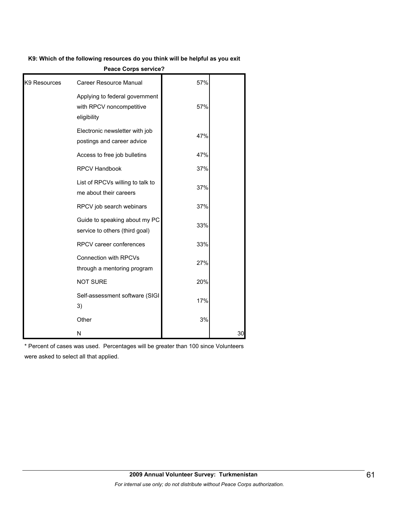#### **K9: Which of the following resources do you think will be helpful as you exit**

|              | Peace Corps Service ?                                                     |     |    |
|--------------|---------------------------------------------------------------------------|-----|----|
| K9 Resources | Career Resource Manual                                                    | 57% |    |
|              | Applying to federal government<br>with RPCV noncompetitive<br>eligibility | 57% |    |
|              | Electronic newsletter with job<br>postings and career advice              | 47% |    |
|              | Access to free job bulletins                                              | 47% |    |
|              | RPCV Handbook                                                             | 37% |    |
|              | List of RPCVs willing to talk to<br>me about their careers                | 37% |    |
|              | RPCV job search webinars                                                  | 37% |    |
|              | Guide to speaking about my PC<br>service to others (third goal)           | 33% |    |
|              | RPCV career conferences                                                   | 33% |    |
|              | <b>Connection with RPCVs</b><br>through a mentoring program               | 27% |    |
|              | <b>NOT SURE</b>                                                           | 20% |    |
|              | Self-assessment software (SIGI<br>3)                                      | 17% |    |
|              | Other                                                                     | 3%  |    |
|              | N                                                                         |     | 30 |

**Peace Corps service?**

\* Percent of cases was used. Percentages will be greater than 100 since Volunteers were asked to select all that applied.